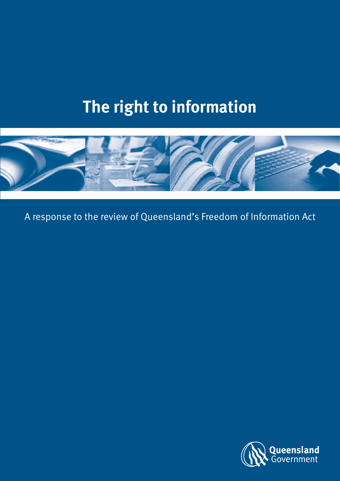# **The right to information**



A response to the review of Queensland's Freedom of Information Act

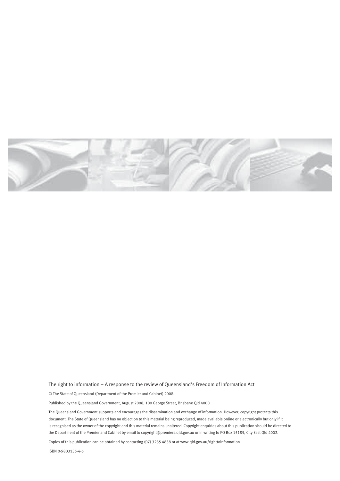

#### The right to information – A response to the review of Queensland's Freedom of Information Act

© The State of Queensland (Department of the Premier and Cabinet) 2008.

Published by the Queensland Government, August 2008, 100 George Street, Brisbane Qld 4000

The Queensland Government supports and encourages the dissemination and exchange of information. However, copyright protects this document. The State of Queensland has no objection to this material being reproduced, made available online or electronically but only if it is recognised as the owner of the copyright and this material remains unaltered. Copyright enquiries about this publication should be directed to the Department of the Premier and Cabinet by email to copyright@premiers.qld.gov.au or in writing to PO Box 15185, City East Qld 4002.

Copies of this publication can be obtained by contacting (07) 3235 4838 or at www.qld.gov.au/righttoinformation

ISBN 0-9803135-4-6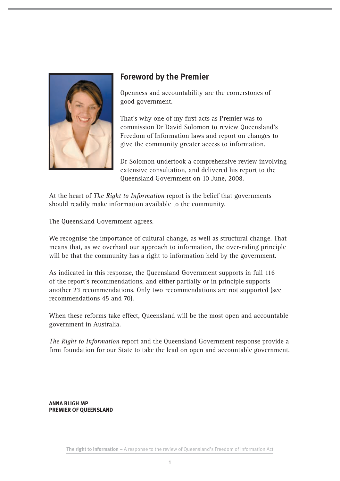

#### **Foreword by the Premier**

Openness and accountability are the cornerstones of good government.

That's why one of my first acts as Premier was to commission Dr David Solomon to review Queensland's Freedom of Information laws and report on changes to give the community greater access to information.

Dr Solomon undertook a comprehensive review involving extensive consultation, and delivered his report to the Queensland Government on 10 June, 2008.

At the heart of *The Right to Information* report is the belief that governments should readily make information available to the community.

The Queensland Government agrees.

We recognise the importance of cultural change, as well as structural change. That means that, as we overhaul our approach to information, the over-riding principle will be that the community has a right to information held by the government.

As indicated in this response, the Queensland Government supports in full 116 of the report's recommendations, and either partially or in principle supports another 23 recommendations. Only two recommendations are not supported (see recommendations 45 and 70).

When these reforms take effect, Queensland will be the most open and accountable government in Australia.

*The Right to Information* report and the Queensland Government response provide a firm foundation for our State to take the lead on open and accountable government.

**ANNA BLIGH MP PREMIER OF QUEENSLAND**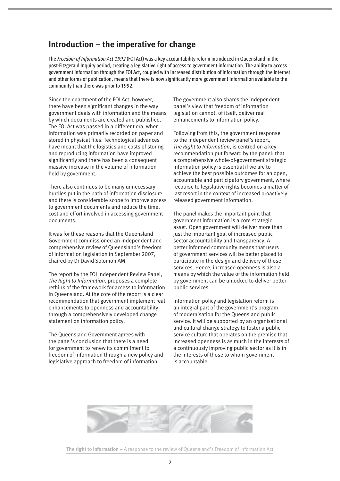#### **Introduction – the imperative for change**

The *Freedom of Information Act 1992* (FOI Act) was a key accountability reform introduced in Queensland in the post-Fitzgerald Inquiry period, creating a legislative right of access to government information. The ability to access government information through the FOI Act, coupled with increased distribution of information through the internet and other forms of publication, means that there is now significantly more government information available to the community than there was prior to 1992.

Since the enactment of the FOI Act, however, there have been significant changes in the way government deals with information and the means by which documents are created and published. The FOI Act was passed in a different era, when information was primarily recorded on paper and stored in physical files. Technological advances have meant that the logistics and costs of storing and reproducing information have improved significantly and there has been a consequent massive increase in the volume of information held by government.

There also continues to be many unnecessary hurdles put in the path of information disclosure and there is considerable scope to improve access to government documents and reduce the time, cost and effort involved in accessing government documents.

It was for these reasons that the Queensland Government commissioned an independent and comprehensive review of Queensland's freedom of information legislation in September 2007, chaired by Dr David Solomon AM.

The report by the FOI Independent Review Panel, *The Right to Information*, proposes a complete rethink of the framework for access to information in Queensland. At the core of the report is a clear recommendation that government implement real enhancements to openness and accountability through a comprehensively developed change statement on information policy.

The Queensland Government agrees with the panel's conclusion that there is a need for government to renew its commitment to freedom of information through a new policy and legislative approach to freedom of information.

The government also shares the independent panel's view that freedom of information legislation cannot, of itself, deliver real enhancements to information policy.

Following from this, the government response to the independent review panel's report, *The Right to Information*, is centred on a key recommendation put forward by the panel: that a comprehensive whole-of-government strategic information policy is essential if we are to achieve the best possible outcomes for an open, accountable and participatory government, where recourse to legislative rights becomes a matter of last resort in the context of increased proactively released government information.

The panel makes the important point that government information is a core strategic asset. Open government will deliver more than just the important goal of increased public sector accountability and transparency. A better informed community means that users of government services will be better placed to participate in the design and delivery of those services. Hence, increased openness is also a means by which the value of the information held by government can be unlocked to deliver better public services.

Information policy and legislation reform is an integral part of the government's program of modernisation for the Queensland public service. It will be supported by an organisational and cultural change strategy to foster a public service culture that operates on the premise that increased openness is as much in the interests of a continuously improving public sector as it is in the interests of those to whom government is accountable.

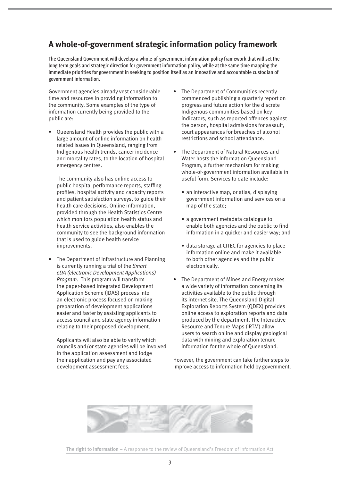# **A whole-of-government strategic information policy framework**

The Queensland Government will develop a whole-of-government information policy framework that will set the long term goals and strategic direction for government information policy, while at the same time mapping the immediate priorities for government in seeking to position itself as an innovative and accountable custodian of government information.

Government agencies already vest considerable time and resources in providing information to the community. Some examples of the type of information currently being provided to the public are:

Queensland Health provides the public with a large amount of online information on health related issues in Queensland, ranging from Indigenous health trends, cancer incidence and mortality rates, to the location of hospital emergency centres.

The community also has online access to public hospital performance reports, staffing profiles, hospital activity and capacity reports and patient satisfaction surveys, to guide their health care decisions. Online information, provided through the Health Statistics Centre which monitors population health status and health service activities, also enables the community to see the background information that is used to guide health service improvements.

The Department of Infrastructure and Planning is currently running a trial of the *Smart eDA (electronic Development Applications) Program*. This program will transform the paper-based Integrated Development Application Scheme (IDAS) process into an electronic process focused on making preparation of development applications easier and faster by assisting applicants to access council and state agency information relating to their proposed development.

Applicants will also be able to verify which councils and/or state agencies will be involved in the application assessment and lodge their application and pay any associated development assessment fees.

- The Department of Communities recently commenced publishing a quarterly report on progress and future action for the discrete Indigenous communities based on key indicators, such as reported offences against the person, hospital admissions for assault, court appearances for breaches of alcohol restrictions and school attendance.
- The Department of Natural Resources and Water hosts the Information Queensland Program, a further mechanism for making whole-of-government information available in useful form. Services to date include:
	- an interactive map, or atlas, displaying government information and services on a map of the state;
	- a government metadata catalogue to enable both agencies and the public to find information in a quicker and easier way; and
	- data storage at CITEC for agencies to place information online and make it available to both other agencies and the public electronically.
- The Department of Mines and Energy makes a wide variety of information concerning its activities available to the public through its internet site. The Queensland Digital Exploration Reports System (QDEX) provides online access to exploration reports and data produced by the department. The Interactive Resource and Tenure Maps (IRTM) allow users to search online and display geological data with mining and exploration tenure information for the whole of Queensland.

However, the government can take further steps to improve access to information held by government.

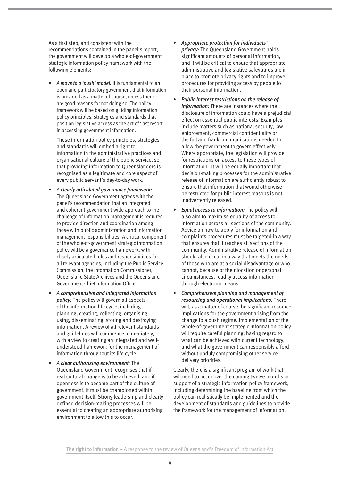As a first step, and consistent with the recommendations contained in the panel's report, the government will develop a whole-of-government strategic information policy framework with the following elements:

• *A move to a 'push' model:* It is fundamental to an open and participatory government that information is provided as a matter of course, unless there are good reasons for not doing so. The policy framework will be based on guiding information policy principles, strategies and standards that position legislative access as the act of 'last resort' in accessing government information.

These information policy principles, strategies and standards will embed a right to information in the administrative practices and organisational culture of the public service, so that providing information to Queenslanders is recognised as a legitimate and core aspect of every public servant's day-to-day work.

- • *A clearly articulated governance framework:* The Queensland Government agrees with the panel's recommendation that an integrated and coherent government-wide approach to the challenge of information management is required to provide direction and coordination among those with public administration and information management responsibilities. A critical component of the whole-of-government strategic information policy will be a governance framework, with clearly articulated roles and responsibilities for all relevant agencies, including the Public Service Commission, the Information Commissioner, Queensland State Archives and the Queensland Government Chief Information Office.
- • *A comprehensive and integrated information policy:* The policy will govern all aspects of the information life cycle, including planning, creating, collecting, organising, using, disseminating, storing and destroying information. A review of all relevant standards and guidelines will commence immediately, with a view to creating an integrated and wellunderstood framework for the management of information throughout its life cycle.
- • *A clear authorising environment:* The Queensland Government recognises that if real cultural change is to be achieved, and if openness is to become part of the culture of government, it must be championed within government itself. Strong leadership and clearly defined decision-making processes will be essential to creating an appropriate authorising environment to allow this to occur.
- • *Appropriate protection for individuals' privacy:* The Queensland Government holds significant amounts of personal information, and it will be critical to ensure that appropriate administrative and legislative safeguards are in place to promote privacy rights and to improve procedures for providing access by people to their personal information.
- • *Public interest restrictions on the release of information:* There are instances where the disclosure of information could have a prejudicial effect on essential public interests. Examples include matters such as national security, law enforcement, commercial confidentiality or the full and frank communications needed to allow the government to govern effectively. Where appropriate, the legislation will provide for restrictions on access to these types of information. It will be equally important that decision-making processes for the administrative release of information are sufficiently robust to ensure that information that would otherwise be restricted for public interest reasons is not inadvertently released.
- **Equal access to information:** The policy will also aim to maximise equality of access to information across all sections of the community. Advice on how to apply for information and complaints procedures must be targeted in a way that ensures that it reaches all sections of the community. Administrative release of information should also occur in a way that meets the needs of those who are at a social disadvantage or who cannot, because of their location or personal circumstances, readily access information through electronic means.
- • *Comprehensive planning and management of resourcing and operational implications:* There will, as a matter of course, be significant resource implications for the government arising from the change to a push regime. Implementation of the whole-of-government strategic information policy will require careful planning, having regard to what can be achieved with current technology, and what the government can responsibly afford without unduly compromising other service delivery priorities.

Clearly, there is a significant program of work that will need to occur over the coming twelve months in support of a strategic information policy framework, including determining the baseline from which the policy can realistically be implemented and the development of standards and guidelines to provide the framework for the management of information.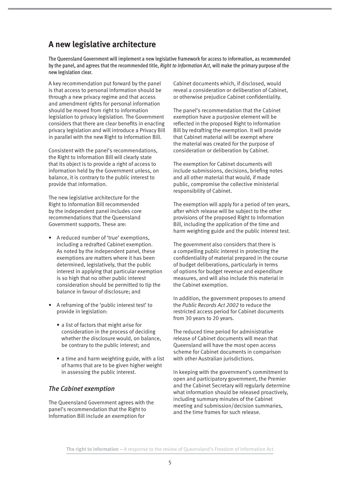# **A new legislative architecture**

The Queensland Government will implement a new legislative framework for access to information, as recommended by the panel, and agrees that the recommended title, *Right to Information Act*, will make the primary purpose of the new legislation clear.

A key recommendation put forward by the panel is that access to personal information should be through a new privacy regime and that access and amendment rights for personal information should be moved from right to information legislation to privacy legislation. The Government considers that there are clear benefits in enacting privacy legislation and will introduce a Privacy Bill in parallel with the new Right to Information Bill.

Consistent with the panel's recommendations, the Right to Information Bill will clearly state that its object is to provide a right of access to information held by the Government unless, on balance, it is contrary to the public interest to provide that information.

The new legislative architecture for the Right to Information Bill recommended by the independent panel includes core recommendations that the Queensland Government supports. These are:

- • A reduced number of 'true' exemptions, including a redrafted Cabinet exemption. As noted by the independent panel, these exemptions are matters where it has been determined, legislatively, that the public interest in applying that particular exemption is so high that no other public interest consideration should be permitted to tip the balance in favour of disclosure; and
- A reframing of the 'public interest test' to provide in legislation:
	- a list of factors that might arise for consideration in the process of deciding whether the disclosure would, on balance, be contrary to the public interest; and
	- a time and harm weighting guide, with a list of harms that are to be given higher weight in assessing the public interest.

#### *The Cabinet exemption*

The Queensland Government agrees with the panel's recommendation that the Right to Information Bill include an exemption for

Cabinet documents which, if disclosed, would reveal a consideration or deliberation of Cabinet, or otherwise prejudice Cabinet confidentiality.

The panel's recommendation that the Cabinet exemption have a purposive element will be reflected in the proposed Right to Information Bill by redrafting the exemption. It will provide that Cabinet material will be exempt where the material was created for the purpose of consideration or deliberation by Cabinet.

The exemption for Cabinet documents will include submissions, decisions, briefing notes and all other material that would, if made public, compromise the collective ministerial responsibility of Cabinet.

The exemption will apply for a period of ten years, after which release will be subject to the other provisions of the proposed Right to Information Bill, including the application of the time and harm weighting guide and the public interest test.

The government also considers that there is a compelling public interest in protecting the confidentiality of material prepared in the course of budget deliberations, particularly in terms of options for budget revenue and expenditure measures, and will also include this material in the Cabinet exemption.

In addition, the government proposes to amend the *Public Records Act 2002* to reduce the restricted access period for Cabinet documents from 30 years to 20 years.

The reduced time period for administrative release of Cabinet documents will mean that Queensland will have the most open access scheme for Cabinet documents in comparison with other Australian jurisdictions.

In keeping with the government's commitment to open and participatory government, the Premier and the Cabinet Secretary will regularly determine what information should be released proactively, including summary minutes of the Cabinet meeting and submission/decision summaries, and the time frames for such release.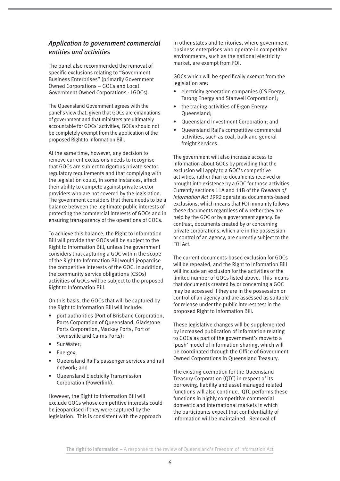#### *Application to government commercial entities and activities*

The panel also recommended the removal of specific exclusions relating to "Government Business Enterprises" (primarily Government Owned Corporations – GOCs and Local Government Owned Corporations - LGOCs).

The Queensland Government agrees with the panel's view that, given that GOCs are emanations of government and that ministers are ultimately accountable for GOCs' activities, GOCs should not be completely exempt from the application of the proposed Right to Information Bill.

At the same time, however, any decision to remove current exclusions needs to recognise that GOCs are subject to rigorous private sector regulatory requirements and that complying with the legislation could, in some instances, affect their ability to compete against private sector providers who are not covered by the legislation. The government considers that there needs to be a balance between the legitimate public interests of protecting the commercial interests of GOCs and in ensuring transparency of the operations of GOCs.

To achieve this balance, the Right to Information Bill will provide that GOCs will be subject to the Right to Information Bill, unless the government considers that capturing a GOC within the scope of the Right to Information Bill would jeopardise the competitive interests of the GOC. In addition, the community service obligations (CSOs) activities of GOCs will be subject to the proposed Right to Information Bill.

On this basis, the GOCs that will be captured by the Right to Information Bill will include:

- port authorities (Port of Brisbane Corporation, Ports Corporation of Queensland, Gladstone Ports Corporation, Mackay Ports, Port of Townsville and Cairns Ports);
- SunWater;
- Energex;
- Queensland Rail's passenger services and rail network; and
- • Queensland Electricity Transmission Corporation (Powerlink).

However, the Right to Information Bill will exclude GOCs whose competitive interests could be jeopardised if they were captured by the legislation. This is consistent with the approach

in other states and territories, where government business enterprises who operate in competitive environments, such as the national electricity market, are exempt from FOI.

GOCs which will be specifically exempt from the legislation are:

- electricity generation companies (CS Energy, Tarong Energy and Stanwell Corporation);
- the trading activities of Ergon Energy Queensland;
- Queensland Investment Corporation; and
- • Queensland Rail's competitive commercial activities, such as coal, bulk and general freight services.

The government will also increase access to information about GOCs by providing that the exclusion will apply to a GOC's competitive activities, rather than to documents received or brought into existence by a GOC for those activities. Currently sections 11A and 11B of the *Freedom of Information Act 1992* operate as documents-based exclusions, which means that FOI immunity follows these documents regardless of whether they are held by the GOC or by a government agency. By contrast, documents created by or concerning private corporations, which are in the possession or control of an agency, are currently subject to the FOI Act.

The current documents-based exclusion for GOCs will be repealed, and the Right to Information Bill will include an exclusion for the activities of the limited number of GOCs listed above. This means that documents created by or concerning a GOC may be accessed if they are in the possession or control of an agency and are assessed as suitable for release under the public interest test in the proposed Right to Information Bill.

These legislative changes will be supplemented by increased publication of information relating to GOCs as part of the government's move to a 'push' model of information sharing, which will be coordinated through the Office of Government Owned Corporations in Queensland Treasury.

The existing exemption for the Queensland Treasury Corporation (QTC) in respect of its borrowing, liability and asset managed related functions will also continue. QTC performs these functions in highly competitive commercial domestic and international markets in which the participants expect that confidentiality of information will be maintained. Removal of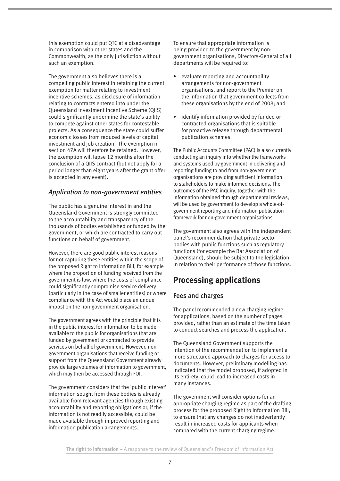this exemption could put QTC at a disadvantage in comparison with other states and the Commonwealth, as the only jurisdiction without such an exemption.

The government also believes there is a compelling public interest in retaining the current exemption for matter relating to investment incentive schemes, as disclosure of information relating to contracts entered into under the Queensland Investment Incentive Scheme (QIIS) could significantly undermine the state's ability to compete against other states for contestable projects. As a consequence the state could suffer economic losses from reduced levels of capital investment and job creation. The exemption in section 47A will therefore be retained. However, the exemption will lapse 12 months after the conclusion of a QIIS contract (but not apply for a period longer than eight years after the grant offer is accepted in any event).

#### *Application to non-government entities*

The public has a genuine interest in and the Queensland Government is strongly committed to the accountability and transparency of the thousands of bodies established or funded by the government, or which are contracted to carry out functions on behalf of government.

However, there are good public interest reasons for not capturing these entities within the scope of the proposed Right to Information Bill, for example where the proportion of funding received from the government is low, where the costs of compliance could significantly compromise service delivery (particularly in the case of smaller entities) or where compliance with the Act would place an undue impost on the non-government organisation.

The government agrees with the principle that it is in the public interest for information to be made available to the public for organisations that are funded by government or contracted to provide services on behalf of government. However, nongovernment organisations that receive funding or support from the Queensland Government already provide large volumes of information to government, which may then be accessed through FOI.

The government considers that the 'public interest' information sought from these bodies is already available from relevant agencies through existing accountability and reporting obligations or, if the information is not readily accessible, could be made available through improved reporting and information publication arrangements.

To ensure that appropriate information is being provided to the government by nongovernment organisations, Directors-General of all departments will be required to:

- evaluate reporting and accountability arrangements for non-government organisations, and report to the Premier on the information that government collects from these organisations by the end of 2008; and
- identify information provided by funded or contracted organisations that is suitable for proactive release through departmental publication schemes.

The Public Accounts Committee (PAC) is also currently conducting an inquiry into whether the frameworks and systems used by government in delivering and reporting funding to and from non-government organisations are providing sufficient information to stakeholders to make informed decisions. The outcomes of the PAC inquiry, together with the information obtained through departmental reviews, will be used by government to develop a whole-ofgovernment reporting and information publication framework for non-government organisations.

The government also agrees with the independent panel's recommendation that private sector bodies with public functions such as regulatory functions (for example the Bar Association of Queensland), should be subject to the legislation in relation to their performance of those functions.

# **Processing applications**

#### Fees and charges

The panel recommended a new charging regime for applications, based on the number of pages provided, rather than an estimate of the time taken to conduct searches and process the application.

The Queensland Government supports the intention of the recommendation to implement a more structured approach to charges for access to documents. However, preliminary modelling has indicated that the model proposed, if adopted in its entirety, could lead to increased costs in many instances.

The government will consider options for an appropriate charging regime as part of the drafting process for the proposed Right to Information Bill, to ensure that any changes do not inadvertently result in increased costs for applicants when compared with the current charging regime.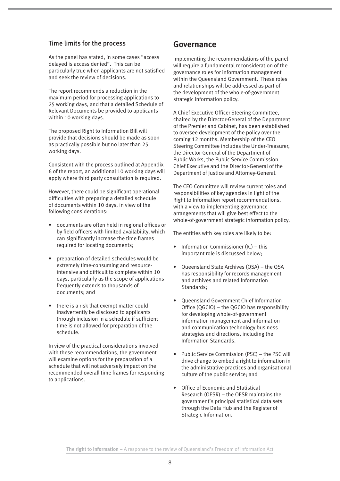#### Time limits for the process

As the panel has stated, in some cases "access delayed is access denied". This can be particularly true when applicants are not satisfied and seek the review of decisions.

The report recommends a reduction in the maximum period for processing applications to 25 working days, and that a detailed Schedule of Relevant Documents be provided to applicants within 10 working days.

The proposed Right to Information Bill will provide that decisions should be made as soon as practically possible but no later than 25 working days.

Consistent with the process outlined at Appendix 6 of the report, an additional 10 working days will apply where third party consultation is required.

However, there could be significant operational difficulties with preparing a detailed schedule of documents within 10 days, in view of the following considerations:

- • documents are often held in regional offices or by field officers with limited availability, which can significantly increase the time frames required for locating documents;
- preparation of detailed schedules would be extremely time-consuming and resourceintensive and difficult to complete within 10 days, particularly as the scope of applications frequently extends to thousands of documents; and
- there is a risk that exempt matter could inadvertently be disclosed to applicants through inclusion in a schedule if sufficient time is not allowed for preparation of the schedule.

In view of the practical considerations involved with these recommendations, the government will examine options for the preparation of a schedule that will not adversely impact on the recommended overall time frames for responding to applications.

#### **Governance**

Implementing the recommendations of the panel will require a fundamental reconsideration of the governance roles for information management within the Queensland Government. These roles and relationships will be addressed as part of the development of the whole-of-government strategic information policy.

A Chief Executive Officer Steering Committee, chaired by the Director-General of the Department of the Premier and Cabinet, has been established to oversee development of the policy over the coming 12 months. Membership of the CEO Steering Committee includes the Under-Treasurer, the Director-General of the Department of Public Works, the Public Service Commission Chief Executive and the Director-General of the Department of Justice and Attorney-General.

The CEO Committee will review current roles and responsibilities of key agencies in light of the Right to Information report recommendations, with a view to implementing governance arrangements that will give best effect to the whole-of-government strategic information policy.

The entities with key roles are likely to be:

- Information Commissioner  $(IC)$  this important role is discussed below;
- • Queensland State Archives (QSA) the QSA has responsibility for records management and archives and related Information Standards;
- **Queensland Government Chief Information** Office (QGCIO) – the QGCIO has responsibility for developing whole-of-government information management and information and communication technology business strategies and directions, including the Information Standards.
- Public Service Commission (PSC) the PSC will drive change to embed a right to information in the administrative practices and organisational culture of the public service; and
- • Office of Economic and Statistical Research (OESR) – the OESR maintains the government's principal statistical data sets through the Data Hub and the Register of Strategic Information.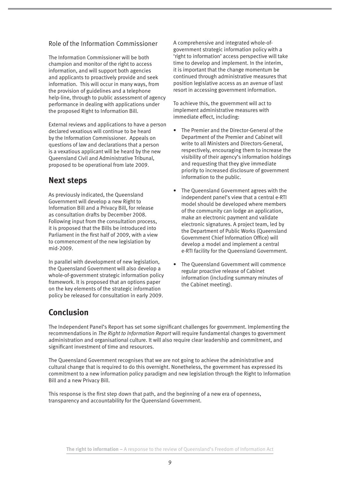#### Role of the Information Commissioner

The Information Commissioner will be both champion and monitor of the right to access information, and will support both agencies and applicants to proactively provide and seek information. This will occur in many ways, from the provision of guidelines and a telephone help-line, through to public assessment of agency performance in dealing with applications under the proposed Right to Information Bill.

External reviews and applications to have a person declared vexatious will continue to be heard by the Information Commissioner. Appeals on questions of law and declarations that a person is a vexatious applicant will be heard by the new Queensland Civil and Administrative Tribunal, proposed to be operational from late 2009.

# **Next steps**

As previously indicated, the Queensland Government will develop a new Right to Information Bill and a Privacy Bill, for release as consultation drafts by December 2008. Following input from the consultation process, it is proposed that the Bills be introduced into Parliament in the first half of 2009, with a view to commencement of the new legislation by mid-2009.

In parallel with development of new legislation, the Queensland Government will also develop a whole-of-government strategic information policy framework. It is proposed that an options paper on the key elements of the strategic information policy be released for consultation in early 2009.

A comprehensive and integrated whole-ofgovernment strategic information policy with a 'right to information' access perspective will take time to develop and implement. In the interim, it is important that the change momentum be continued through administrative measures that position legislative access as an avenue of last resort in accessing government information.

To achieve this, the government will act to implement administrative measures with immediate effect, including:

- The Premier and the Director-General of the Department of the Premier and Cabinet will write to all Ministers and Directors-General, respectively, encouraging them to increase the visibility of their agency's information holdings and requesting that they give immediate priority to increased disclosure of government information to the public.
- The Queensland Government agrees with the independent panel's view that a central e-RTI model should be developed where members of the community can lodge an application, make an electronic payment and validate electronic signatures. A project team, led by the Department of Public Works (Queensland Government Chief Information Office) will develop a model and implement a central e-RTI facility for the Queensland Government.
- • The Queensland Government will commence regular proactive release of Cabinet information (including summary minutes of the Cabinet meeting).

# **Conclusion**

The Independent Panel's Report has set some significant challenges for government. Implementing the recommendations in *The Right to Information Report* will require fundamental changes to government administration and organisational culture. It will also require clear leadership and commitment, and significant investment of time and resources.

The Queensland Government recognises that we are not going to achieve the administrative and cultural change that is required to do this overnight. Nonetheless, the government has expressed its commitment to a new information policy paradigm and new legislation through the Right to Information Bill and a new Privacy Bill.

This response is the first step down that path, and the beginning of a new era of openness, transparency and accountability for the Queensland Government.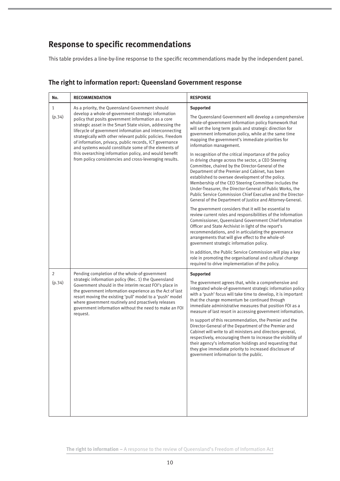# **Response to specific recommendations**

This table provides a line-by-line response to the specific recommendations made by the independent panel.

| No.                      | <b>RECOMMENDATION</b>                                                                                                                                                                                                                                                                                                                                                                                                                                                                                                                                                                       | <b>RESPONSE</b>                                                                                                                                                                                                                                                                                                                                                                                                                                                                                                                                                                                                                                                                                                                                                                                                                                                                                                                                                                                                                                                                                                                                                                                                                                                                                                                                                                                                                                              |
|--------------------------|---------------------------------------------------------------------------------------------------------------------------------------------------------------------------------------------------------------------------------------------------------------------------------------------------------------------------------------------------------------------------------------------------------------------------------------------------------------------------------------------------------------------------------------------------------------------------------------------|--------------------------------------------------------------------------------------------------------------------------------------------------------------------------------------------------------------------------------------------------------------------------------------------------------------------------------------------------------------------------------------------------------------------------------------------------------------------------------------------------------------------------------------------------------------------------------------------------------------------------------------------------------------------------------------------------------------------------------------------------------------------------------------------------------------------------------------------------------------------------------------------------------------------------------------------------------------------------------------------------------------------------------------------------------------------------------------------------------------------------------------------------------------------------------------------------------------------------------------------------------------------------------------------------------------------------------------------------------------------------------------------------------------------------------------------------------------|
| $\mathbf{1}$<br>(p.34)   | As a priority, the Queensland Government should<br>develop a whole-of-government strategic information<br>policy that posits government information as a core<br>strategic asset in the Smart State vision, addressing the<br>lifecycle of government information and interconnecting<br>strategically with other relevant public policies. Freedom<br>of information, privacy, public records, ICT governance<br>and systems would constitute some of the elements of<br>this overarching information policy, and would benefit<br>from policy consistencies and cross-leveraging results. | <b>Supported</b><br>The Queensland Government will develop a comprehensive<br>whole-of-government information policy framework that<br>will set the long term goals and strategic direction for<br>government information policy, while at the same time<br>mapping the government's immediate priorities for<br>information management.<br>In recognition of the critical importance of the policy<br>in driving change across the sector, a CEO Steering<br>Committee, chaired by the Director-General of the<br>Department of the Premier and Cabinet, has been<br>established to oversee development of the policy.<br>Membership of the CEO Steering Committee includes the<br>Under-Treasurer, the Director-General of Public Works, the<br>Public Service Commission Chief Executive and the Director-<br>General of the Department of Justice and Attorney-General.<br>The government considers that it will be essential to<br>review current roles and responsibilities of the Information<br>Commissioner, Queensland Government Chief Information<br>Officer and State Archivist in light of the report's<br>recommendations, and in articulating the governance<br>arrangements that will give effect to the whole-of-<br>government strategic information policy.<br>In addition, the Public Service Commission will play a key<br>role in promoting the organisational and cultural change<br>required to drive implementation of the policy. |
| $\overline{2}$<br>(p.34) | Pending completion of the whole-of-government<br>strategic information policy (Rec. 1) the Queensland<br>Government should in the interim recast FOI's place in<br>the government information experience as the Act of last<br>resort moving the existing 'pull' model to a 'push' model<br>where government routinely and proactively releases<br>government information without the need to make an FOI<br>request.                                                                                                                                                                       | Supported<br>The government agrees that, while a comprehensive and<br>integrated whole-of-government strategic information policy<br>with a 'push' focus will take time to develop, it is important<br>that the change momentum be continued through<br>immediate administrative measures that position FOI as a<br>measure of last resort in accessing government information.<br>In support of this recommendation, the Premier and the<br>Director-General of the Department of the Premier and<br>Cabinet will write to all ministers and directors-general,<br>respectively, encouraging them to increase the visibility of<br>their agency's information holdings and requesting that<br>they give immediate priority to increased disclosure of<br>government information to the public.                                                                                                                                                                                                                                                                                                                                                                                                                                                                                                                                                                                                                                                              |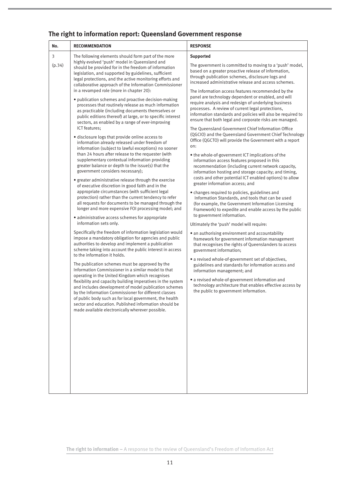|  |  | The right to information report: Queensland Government response |  |
|--|--|-----------------------------------------------------------------|--|
|  |  |                                                                 |  |

| <b>RECOMMENDATION</b><br>No.                                                                                                                                                                                              |                                                                                                                                                                                                                                                                                                                                                                                                                                                                                                                                                                                                                                                                                                                                                                                                                                                                                                                                                                                                                                                                                                                                                                                                                                                                                                                                                                                                                                                                                                                                                                                                                                                                                                                                                                                                                                                                                                                                                                                                                                                                   | <b>RESPONSE</b>                                                                                                                                                                                                                                                                                                                                                                                                                                                                                                                                                                                                                                                                                                                                                                                                                                                                                                                                                                                                                                                                                                                                                                                                                                                                                                                                                                                                                                                                                                                                                                                                                                                                                                                                                                                                                                                                                            |
|---------------------------------------------------------------------------------------------------------------------------------------------------------------------------------------------------------------------------|-------------------------------------------------------------------------------------------------------------------------------------------------------------------------------------------------------------------------------------------------------------------------------------------------------------------------------------------------------------------------------------------------------------------------------------------------------------------------------------------------------------------------------------------------------------------------------------------------------------------------------------------------------------------------------------------------------------------------------------------------------------------------------------------------------------------------------------------------------------------------------------------------------------------------------------------------------------------------------------------------------------------------------------------------------------------------------------------------------------------------------------------------------------------------------------------------------------------------------------------------------------------------------------------------------------------------------------------------------------------------------------------------------------------------------------------------------------------------------------------------------------------------------------------------------------------------------------------------------------------------------------------------------------------------------------------------------------------------------------------------------------------------------------------------------------------------------------------------------------------------------------------------------------------------------------------------------------------------------------------------------------------------------------------------------------------|------------------------------------------------------------------------------------------------------------------------------------------------------------------------------------------------------------------------------------------------------------------------------------------------------------------------------------------------------------------------------------------------------------------------------------------------------------------------------------------------------------------------------------------------------------------------------------------------------------------------------------------------------------------------------------------------------------------------------------------------------------------------------------------------------------------------------------------------------------------------------------------------------------------------------------------------------------------------------------------------------------------------------------------------------------------------------------------------------------------------------------------------------------------------------------------------------------------------------------------------------------------------------------------------------------------------------------------------------------------------------------------------------------------------------------------------------------------------------------------------------------------------------------------------------------------------------------------------------------------------------------------------------------------------------------------------------------------------------------------------------------------------------------------------------------------------------------------------------------------------------------------------------------|
| 3<br>(p.34)<br>in a revamped role (more in chapter 20):<br>ICT features;<br>· disclosure logs that provide online access to<br>government considers necessary);<br>information sets only.<br>to the information it holds. | The following elements should form part of the more<br>highly evolved 'push' model in Queensland and<br>should be provided for in the freedom of information<br>legislation, and supported by guidelines, sufficient<br>legal protections, and the active monitoring efforts and<br>collaborative approach of the Information Commissioner<br>· publication schemes and proactive decision-making<br>processes that routinely release as much information<br>as practicable (including documents themselves or<br>public editions thereof) at large, or to specific interest<br>sectors, as enabled by a range of ever-improving<br>information already released under freedom of<br>information (subject to lawful exceptions) no sooner<br>than 24 hours after release to the requester (with<br>supplementary contextual information providing<br>greater balance or depth to the issue(s) that the<br>• greater administrative release through the exercise<br>of executive discretion in good faith and in the<br>appropriate circumstances (with sufficient legal<br>protection) rather than the current tendency to refer<br>all requests for documents to be managed through the<br>longer and more expensive FOI processing model; and<br>• administrative access schemes for appropriate<br>Specifically the freedom of information legislation would<br>impose a mandatory obligation for agencies and public<br>authorities to develop and implement a publication<br>scheme taking into account the public interest in access<br>The publication schemes must be approved by the<br>Information Commissioner in a similar model to that<br>operating in the United Kingdom which recognises<br>flexibility and capacity building imperatives in the system<br>and includes development of model publication schemes<br>by the Information Commissioner for different classes<br>of public body such as for local government, the health<br>sector and education. Published information should be<br>made available electronically wherever possible. | <b>Supported</b><br>The government is committed to moving to a 'push' model,<br>based on a greater proactive release of information,<br>through publication schemes, disclosure logs and<br>increased administrative release and access schemes.<br>The information access features recommended by the<br>panel are technology dependent or enabled, and will<br>require analysis and redesign of underlying business<br>processes. A review of current legal protections,<br>information standards and policies will also be required to<br>ensure that both legal and corporate risks are managed.<br>The Queensland Government Chief Information Office<br>(QGCIO) and the Queensland Government Chief Technology<br>Office (QGCTO) will provide the Government with a report<br>on:<br>. the whole-of-government ICT implications of the<br>information access features proposed in this<br>recommendation (including current network capacity,<br>information hosting and storage capacity; and timing,<br>costs and other potential ICT enabled options) to allow<br>greater information access; and<br>· changes required to policies, guidelines and<br>Information Standards, and tools that can be used<br>(for example, the Government Information Licensing<br>Framework) to expedite and enable access by the public<br>to government information.<br>Ultimately the 'push' model will require:<br>• an authorising environment and accountability<br>framework for government information management<br>that recognises the rights of Queenslanders to access<br>government information;<br>• a revised whole-of-government set of objectives,<br>guidelines and standards for information access and<br>information management; and<br>· a revised whole-of-government information and<br>technology architecture that enables effective access by<br>the public to government information. |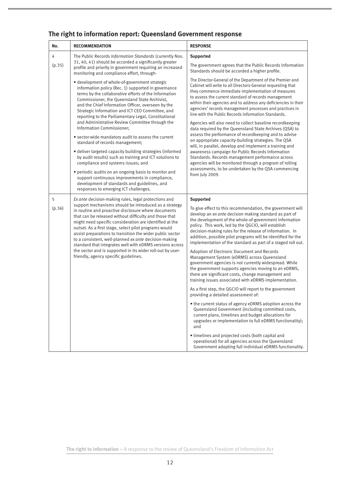| No.         | <b>RECOMMENDATION</b>                                                                                                                                                                                                                                                                                                                                                                                                                                                                                                                                                                                                                                                                                                                                                                                                                                                                                                        | <b>RESPONSE</b>                                                                                                                                                                                                                                                                                                                                                                                                                                                                                                                                                                                                                                                                                                                                                                                                                                                                                                                                                                                                                                                                                                                                                                                                                                                                                     |
|-------------|------------------------------------------------------------------------------------------------------------------------------------------------------------------------------------------------------------------------------------------------------------------------------------------------------------------------------------------------------------------------------------------------------------------------------------------------------------------------------------------------------------------------------------------------------------------------------------------------------------------------------------------------------------------------------------------------------------------------------------------------------------------------------------------------------------------------------------------------------------------------------------------------------------------------------|-----------------------------------------------------------------------------------------------------------------------------------------------------------------------------------------------------------------------------------------------------------------------------------------------------------------------------------------------------------------------------------------------------------------------------------------------------------------------------------------------------------------------------------------------------------------------------------------------------------------------------------------------------------------------------------------------------------------------------------------------------------------------------------------------------------------------------------------------------------------------------------------------------------------------------------------------------------------------------------------------------------------------------------------------------------------------------------------------------------------------------------------------------------------------------------------------------------------------------------------------------------------------------------------------------|
| 4<br>(p.35) | The Public Records Information Standards (currently Nos.<br>31, 40, 41) should be accorded a significantly greater<br>profile and priority in government requiring an increased<br>monitoring and compliance effort, through-                                                                                                                                                                                                                                                                                                                                                                                                                                                                                                                                                                                                                                                                                                | Supported<br>The government agrees that the Public Records Information<br>Standards should be accorded a higher profile.                                                                                                                                                                                                                                                                                                                                                                                                                                                                                                                                                                                                                                                                                                                                                                                                                                                                                                                                                                                                                                                                                                                                                                            |
|             | • development of whole-of-government strategic<br>information policy (Rec. 1) supported in governance<br>terms by the collaborative efforts of the Information<br>Commissioner, the Queensland State Archivist,<br>and the Chief Information Officer, overseen by the<br>Strategic Information and ICT CEO Committee, and<br>reporting to the Parliamentary Legal, Constitutional<br>and Administrative Review Committee through the<br>Information Commissioner;<br>• sector-wide mandatory audit to assess the current<br>standard of records management;<br>• deliver targeted capacity building strategies (informed<br>by audit results) such as training and ICT solutions to<br>compliance and systems issues; and<br>• periodic audits on an ongoing basis to monitor and<br>support continuous improvements in compliance,<br>development of standards and guidelines, and<br>responses to emerging ICT challenges. | The Director-General of the Department of the Premier and<br>Cabinet will write to all Directors-General requesting that<br>they commence immediate implementation of measures<br>to assess the current standard of records management<br>within their agencies and to address any deficiencies in their<br>agencies' records management processes and practices in<br>line with the Public Records Information Standards.<br>Agencies will also need to collect baseline recordkeeping<br>data required by the Queensland State Archives (QSA) to<br>assess the performance of recordkeeping and to advise<br>on appropriate capacity-building strategies. The QSA<br>will, in parallel, develop and implement a training and<br>awareness campaign for Public Records Information<br>Standards. Records management performance across<br>agencies will be monitored through a program of rolling<br>assessments, to be undertaken by the QSA commencing<br>from July 2009.                                                                                                                                                                                                                                                                                                                        |
| 5<br>(p.36) | Ex ante decision-making rules, legal protections and<br>support mechanisms should be introduced as a strategy<br>in routine and proactive disclosure where documents<br>that can be released without difficulty and those that<br>might need specific consideration are identified at the<br>outset. As a first stage, select pilot programs would<br>assist preparations to transition the wider public sector<br>to a consistent, well-planned ex ante decision-making<br>standard that integrates well with eDRMS versions across<br>the sector and is supported in its wider roll-out by user-<br>friendly, agency specific guidelines.                                                                                                                                                                                                                                                                                  | Supported<br>To give effect to this recommendation, the government will<br>develop an ex ante decision making standard as part of<br>the development of the whole-of-government information<br>policy. This work, led by the QGCIO, will establish<br>decision-making rules for the release of information. In<br>addition, possible pilot programs will be identified for the<br>implementation of the standard as part of a staged roll out.<br>Adoption of Electronic Document and Records<br>Management System (eDRMS) across Queensland<br>government agencies is not currently widespread. While<br>the government supports agencies moving to an eDRMS,<br>there are significant costs, change management and<br>training issues associated with eDRMS implementation.<br>As a first step, the QGCIO will report to the government<br>providing a detailed assessment of:<br>• the current status of agency eDRMS adoption across the<br>Queensland Government (including committed costs,<br>current plans, timelines and budget allocations for<br>upgrades or implementation to full eDRMS functionality);<br>and<br>• timelines and projected costs (both capital and<br>operational) for all agencies across the Queensland<br>Government adopting full individual eDRMS functionality. |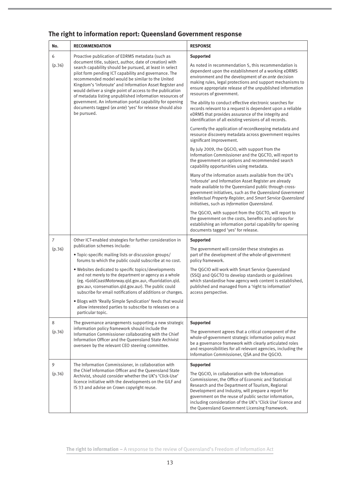| No.              | <b>RECOMMENDATION</b>                                                                                                                                                                                                                                                                                                                                                                                                                                                                                                                                       | <b>RESPONSE</b>                                                                                                                                                                                                                                                                                                                                                                               |
|------------------|-------------------------------------------------------------------------------------------------------------------------------------------------------------------------------------------------------------------------------------------------------------------------------------------------------------------------------------------------------------------------------------------------------------------------------------------------------------------------------------------------------------------------------------------------------------|-----------------------------------------------------------------------------------------------------------------------------------------------------------------------------------------------------------------------------------------------------------------------------------------------------------------------------------------------------------------------------------------------|
| 6                | Proactive publication of EDRMS metadata (such as                                                                                                                                                                                                                                                                                                                                                                                                                                                                                                            | Supported                                                                                                                                                                                                                                                                                                                                                                                     |
| (p.36)           | document title, subject, author, date of creation) with<br>search capability should be pursued, at least in select<br>pilot form pending ICT capability and governance. The<br>recommended model would be similar to the United<br>Kingdom's 'inforoute' and Information Asset Register and<br>would deliver a single point of access to the publication<br>of metadata listing unpublished information resources of<br>government. An information portal capability for opening<br>documents tagged (ex ante) 'yes' for release should also<br>be pursued. | As noted in recommendation 5, this recommendation is<br>dependent upon the establishment of a working eDRMS<br>environment and the development of ex ante decision<br>making rules, legal protections and support mechanisms to<br>ensure appropriate release of the unpublished information<br>resources of government.                                                                      |
|                  |                                                                                                                                                                                                                                                                                                                                                                                                                                                                                                                                                             | The ability to conduct effective electronic searches for<br>records relevant to a request is dependent upon a reliable<br>eDRMS that provides assurance of the integrity and<br>identification of all existing versions of all records.                                                                                                                                                       |
|                  |                                                                                                                                                                                                                                                                                                                                                                                                                                                                                                                                                             | Currently the application of recordkeeping metadata and<br>resource discovery metadata across government requires<br>significant improvement.                                                                                                                                                                                                                                                 |
|                  |                                                                                                                                                                                                                                                                                                                                                                                                                                                                                                                                                             | By July 2009, the QGCIO, with support from the<br>Information Commissioner and the QGCTO, will report to<br>the government on options and recommended search<br>capability opportunities using metadata.                                                                                                                                                                                      |
|                  |                                                                                                                                                                                                                                                                                                                                                                                                                                                                                                                                                             | Many of the information assets available from the UK's<br>'inforoute' and Information Asset Register are already<br>made available to the Queensland public through cross-<br>government initiatives, such as the Queensland Government<br>Intellectual Property Register, and Smart Service Queensland<br>initiatives, such as Information Queensland.                                       |
|                  |                                                                                                                                                                                                                                                                                                                                                                                                                                                                                                                                                             | The QGCIO, with support from the QGCTO, will report to<br>the government on the costs, benefits and options for<br>establishing an information portal capability for opening<br>documents tagged 'yes' for release.                                                                                                                                                                           |
| $\boldsymbol{7}$ | Other ICT-enabled strategies for further consideration in                                                                                                                                                                                                                                                                                                                                                                                                                                                                                                   | <b>Supported</b>                                                                                                                                                                                                                                                                                                                                                                              |
| (p.36)           | publication schemes include:<br>• Topic-specific mailing lists or discussion groups/<br>forums to which the public could subscribe at no cost.                                                                                                                                                                                                                                                                                                                                                                                                              | The government will consider these strategies as<br>part of the development of the whole-of-government<br>policy framework.                                                                                                                                                                                                                                                                   |
|                  | . Websites dedicated to specific topics/developments<br>and not merely to the department or agency as a whole<br>(eg. <goldcoastmotorway.qld.gov.au>, <fluoridation.qld.<br>gov.au&gt;, <conservation.qld.gov.au>). The public could<br/>subscribe for email notifications of additions or changes.</conservation.qld.gov.au></fluoridation.qld.<br></goldcoastmotorway.qld.gov.au>                                                                                                                                                                         | The QGCIO will work with Smart Service Queensland<br>(SSQ) and QGCTO to develop standards or guidelines<br>which standardise how agency web content is established,<br>published and managed from a 'right to information'<br>access perspective.                                                                                                                                             |
|                  | . Blogs with 'Really Simple Syndication' feeds that would<br>allow interested parties to subscribe to releases on a<br>particular topic.                                                                                                                                                                                                                                                                                                                                                                                                                    |                                                                                                                                                                                                                                                                                                                                                                                               |
| 8                | The governance arrangements supporting a new strategic                                                                                                                                                                                                                                                                                                                                                                                                                                                                                                      | <b>Supported</b>                                                                                                                                                                                                                                                                                                                                                                              |
| (p.36)           | information policy framework should include the<br>Information Commissioner collaborating with the Chief<br>Information Officer and the Queensland State Archivist<br>overseen by the relevant CEO steering committee.                                                                                                                                                                                                                                                                                                                                      | The government agrees that a critical component of the<br>whole-of-government strategic information policy must<br>be a governance framework with clearly articulated roles<br>and responsibilities for all relevant agencies, including the<br>Information Commissioner, QSA and the QGCIO.                                                                                                  |
| 9                | The Information Commissioner, in collaboration with                                                                                                                                                                                                                                                                                                                                                                                                                                                                                                         | <b>Supported</b>                                                                                                                                                                                                                                                                                                                                                                              |
| (p.36)           | the Chief Information Officer and the Queensland State<br>Archivist, should consider whether the UK's 'Click-Use'<br>licence initiative with the developments on the GILF and<br>IS 33 and advise on Crown copyright reuse.                                                                                                                                                                                                                                                                                                                                 | The QGCIO, in collaboration with the Information<br>Commissioner, the Office of Economic and Statistical<br>Research and the Department of Tourism, Regional<br>Development and Industry, will prepare a report for<br>government on the reuse of public sector information,<br>including consideration of the UK's 'Click Use' licence and<br>the Queensland Government Licensing Framework. |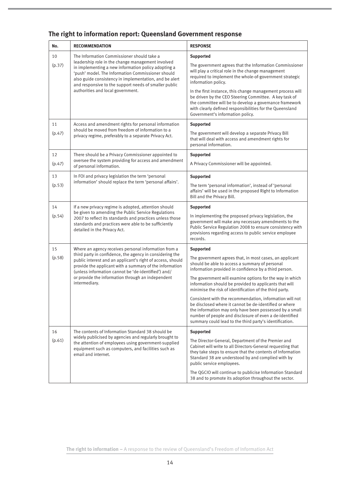| No.          | <b>RECOMMENDATION</b>                                                                                                                                                                                                                                                                                                                                                  | <b>RESPONSE</b>                                                                                                                                                                                                                                                                                                                                                                                                                                                                                                                                                                                                                                                                |
|--------------|------------------------------------------------------------------------------------------------------------------------------------------------------------------------------------------------------------------------------------------------------------------------------------------------------------------------------------------------------------------------|--------------------------------------------------------------------------------------------------------------------------------------------------------------------------------------------------------------------------------------------------------------------------------------------------------------------------------------------------------------------------------------------------------------------------------------------------------------------------------------------------------------------------------------------------------------------------------------------------------------------------------------------------------------------------------|
| 10<br>(p.37) | The Information Commissioner should take a<br>leadership role in the change management involved<br>in implementing a new information policy adopting a<br>'push' model. The Information Commissioner should<br>also guide consistency in implementation, and be alert<br>and responsive to the support needs of smaller public<br>authorities and local government.    | <b>Supported</b><br>The government agrees that the Information Commissioner<br>will play a critical role in the change management<br>required to implement the whole-of-government strategic<br>information policy.<br>In the first instance, this change management process will<br>be driven by the CEO Steering Committee. A key task of<br>the committee will be to develop a governance framework<br>with clearly defined responsibilities for the Queensland<br>Government's information policy.                                                                                                                                                                         |
| 11<br>(p.47) | Access and amendment rights for personal information<br>should be moved from freedom of information to a<br>privacy regime, preferably to a separate Privacy Act.                                                                                                                                                                                                      | <b>Supported</b><br>The government will develop a separate Privacy Bill<br>that will deal with access and amendment rights for<br>personal information.                                                                                                                                                                                                                                                                                                                                                                                                                                                                                                                        |
| 12<br>(p.47) | There should be a Privacy Commissioner appointed to<br>oversee the system providing for access and amendment<br>of personal information.                                                                                                                                                                                                                               | <b>Supported</b><br>A Privacy Commissioner will be appointed.                                                                                                                                                                                                                                                                                                                                                                                                                                                                                                                                                                                                                  |
| 13<br>(p.53) | In FOI and privacy legislation the term 'personal<br>information' should replace the term 'personal affairs'.                                                                                                                                                                                                                                                          | <b>Supported</b><br>The term 'personal information', instead of 'personal<br>affairs' will be used in the proposed Right to Information<br>Bill and the Privacy Bill.                                                                                                                                                                                                                                                                                                                                                                                                                                                                                                          |
| 14<br>(p.54) | If a new privacy regime is adopted, attention should<br>be given to amending the Public Service Regulations<br>2007 to reflect its standards and practices unless those<br>standards and practices were able to be sufficiently<br>detailed in the Privacy Act.                                                                                                        | <b>Supported</b><br>In implementing the proposed privacy legislation, the<br>government will make any necessary amendments to the<br>Public Service Regulation 2008 to ensure consistency with<br>provisions regarding access to public service employee<br>records.                                                                                                                                                                                                                                                                                                                                                                                                           |
| 15<br>(p.58) | Where an agency receives personal information from a<br>third party in confidence, the agency in considering the<br>public interest and an applicant's right of access, should<br>provide the applicant with a summary of the information<br>(unless information cannot be 'de-identified') and/<br>or provide the information through an independent<br>intermediary. | <b>Supported</b><br>The government agrees that, in most cases, an applicant<br>should be able to access a summary of personal<br>information provided in confidence by a third person.<br>The government will examine options for the way in which<br>information should be provided to applicants that will<br>minimise the risk of identification of the third party.<br>Consistent with the recommendation, information will not<br>be disclosed where it cannot be de-identified or where<br>the information may only have been possessed by a small<br>number of people and disclosure of even a de-identified<br>summary could lead to the third party's identification. |
| 16<br>(p.61) | The contents of Information Standard 38 should be<br>widely publicised by agencies and regularly brought to<br>the attention of employees using government-supplied<br>equipment such as computers, and facilities such as<br>email and internet.                                                                                                                      | <b>Supported</b><br>The Director-General, Department of the Premier and<br>Cabinet will write to all Directors-General requesting that<br>they take steps to ensure that the contents of Information<br>Standard 38 are understood by and complied with by<br>public service employees.<br>The QGCIO will continue to publicise Information Standard<br>38 and to promote its adoption throughout the sector.                                                                                                                                                                                                                                                                  |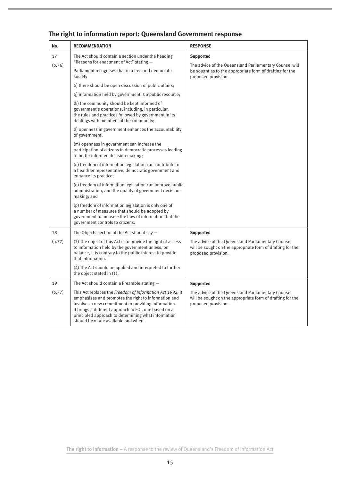| No.    | <b>RECOMMENDATION</b>                                                                                                                                                                                                                                                                                                          | <b>RESPONSE</b>                                                                                                                            |
|--------|--------------------------------------------------------------------------------------------------------------------------------------------------------------------------------------------------------------------------------------------------------------------------------------------------------------------------------|--------------------------------------------------------------------------------------------------------------------------------------------|
| 17     | The Act should contain a section under the heading<br>"Reasons for enactment of Act" stating -                                                                                                                                                                                                                                 | <b>Supported</b>                                                                                                                           |
| (p.76) | Parliament recognises that in a free and democratic<br>society                                                                                                                                                                                                                                                                 | The advice of the Queensland Parliamentary Counsel will<br>be sought as to the appropriate form of drafting for the<br>proposed provision. |
|        | (i) there should be open discussion of public affairs;                                                                                                                                                                                                                                                                         |                                                                                                                                            |
|        | (i) information held by government is a public resource;                                                                                                                                                                                                                                                                       |                                                                                                                                            |
|        | (k) the community should be kept informed of<br>government's operations, including, in particular,<br>the rules and practices followed by government in its<br>dealings with members of the community;                                                                                                                         |                                                                                                                                            |
|        | (l) openness in government enhances the accountability<br>of government;                                                                                                                                                                                                                                                       |                                                                                                                                            |
|        | (m) openness in government can increase the<br>participation of citizens in democratic processes leading<br>to better informed decision-making;                                                                                                                                                                                |                                                                                                                                            |
|        | (n) freedom of information legislation can contribute to<br>a healthier representative, democratic government and<br>enhance its practice;                                                                                                                                                                                     |                                                                                                                                            |
|        | (o) freedom of information legislation can improve public<br>administration, and the quality of government decision-<br>making; and                                                                                                                                                                                            |                                                                                                                                            |
|        | (p) freedom of information legislation is only one of<br>a number of measures that should be adopted by<br>government to increase the flow of information that the<br>government controls to citizens.                                                                                                                         |                                                                                                                                            |
| 18     | The Objects section of the Act should say $-$                                                                                                                                                                                                                                                                                  | <b>Supported</b>                                                                                                                           |
| (p.77) | (3) The object of this Act is to provide the right of access<br>to information held by the government unless, on<br>balance, it is contrary to the public interest to provide<br>that information.                                                                                                                             | The advice of the Queensland Parliamentary Counsel<br>will be sought on the appropriate form of drafting for the<br>proposed provision.    |
|        | (4) The Act should be applied and interpreted to further<br>the object stated in (1).                                                                                                                                                                                                                                          |                                                                                                                                            |
| 19     | The Act should contain a Preamble stating $-$                                                                                                                                                                                                                                                                                  | <b>Supported</b>                                                                                                                           |
| (p.77) | This Act replaces the Freedom of Information Act 1992. It<br>emphasises and promotes the right to information and<br>involves a new commitment to providing information.<br>It brings a different approach to FOI, one based on a<br>principled approach to determining what information<br>should be made available and when. | The advice of the Queensland Parliamentary Counsel<br>will be sought on the appropriate form of drafting for the<br>proposed provision.    |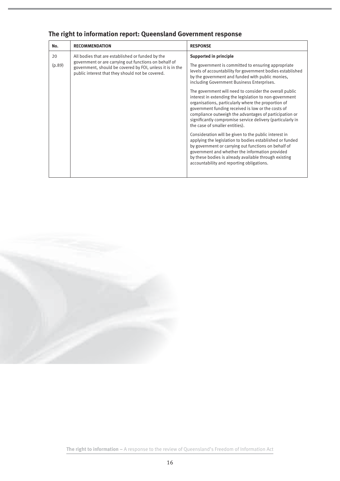| No.    | <b>RECOMMENDATION</b>                                                                                                                                                  | <b>RESPONSE</b>                                                                                                                                                                                                                                                                                                                                                                           |
|--------|------------------------------------------------------------------------------------------------------------------------------------------------------------------------|-------------------------------------------------------------------------------------------------------------------------------------------------------------------------------------------------------------------------------------------------------------------------------------------------------------------------------------------------------------------------------------------|
| 20     | All bodies that are established or funded by the                                                                                                                       | Supported in principle                                                                                                                                                                                                                                                                                                                                                                    |
| (p.89) | government or are carrying out functions on behalf of<br>government, should be covered by FOI, unless it is in the<br>public interest that they should not be covered. | The government is committed to ensuring appropriate<br>levels of accountability for government bodies established<br>by the government and funded with public monies,<br>including Government Business Enterprises.                                                                                                                                                                       |
|        |                                                                                                                                                                        | The government will need to consider the overall public<br>interest in extending the legislation to non-government<br>organisations, particularly where the proportion of<br>government funding received is low or the costs of<br>compliance outweigh the advantages of participation or<br>significantly compromise service delivery (particularly in<br>the case of smaller entities). |
|        |                                                                                                                                                                        | Consideration will be given to the public interest in<br>applying the legislation to bodies established or funded<br>by government or carrying out functions on behalf of<br>government and whether the information provided<br>by these bodies is already available through existing<br>accountability and reporting obligations.                                                        |

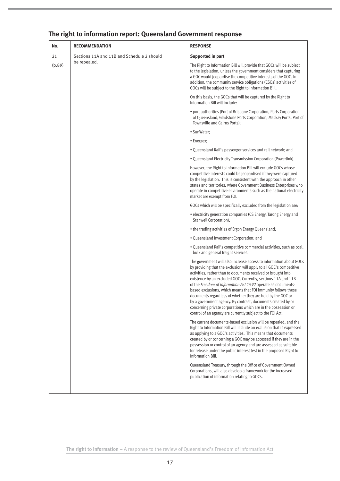| No.    | <b>RECOMMENDATION</b>                      | <b>RESPONSE</b>                                                                                                                                                                                                                                                                                                                                                                                                                                                                                                                                                                                                                                                             |
|--------|--------------------------------------------|-----------------------------------------------------------------------------------------------------------------------------------------------------------------------------------------------------------------------------------------------------------------------------------------------------------------------------------------------------------------------------------------------------------------------------------------------------------------------------------------------------------------------------------------------------------------------------------------------------------------------------------------------------------------------------|
| 21     | Sections 11A and 11B and Schedule 2 should | Supported in part                                                                                                                                                                                                                                                                                                                                                                                                                                                                                                                                                                                                                                                           |
| (p.89) | be repealed.                               | The Right to Information Bill will provide that GOCs will be subject<br>to the legislation, unless the government considers that capturing<br>a GOC would jeopardise the competitive interests of the GOC. In<br>addition, the community service obligations (CSOs) activities of<br>GOCs will be subject to the Right to Information Bill.                                                                                                                                                                                                                                                                                                                                 |
|        |                                            | On this basis, the GOCs that will be captured by the Right to<br>Information Bill will include:                                                                                                                                                                                                                                                                                                                                                                                                                                                                                                                                                                             |
|        |                                            | • port authorities (Port of Brisbane Corporation, Ports Corporation<br>of Queensland, Gladstone Ports Corporation, Mackay Ports, Port of<br>Townsville and Cairns Ports);                                                                                                                                                                                                                                                                                                                                                                                                                                                                                                   |
|        |                                            | • SunWater:                                                                                                                                                                                                                                                                                                                                                                                                                                                                                                                                                                                                                                                                 |
|        |                                            | • Energex;                                                                                                                                                                                                                                                                                                                                                                                                                                                                                                                                                                                                                                                                  |
|        |                                            | . Queensland Rail's passenger services and rail network; and                                                                                                                                                                                                                                                                                                                                                                                                                                                                                                                                                                                                                |
|        |                                            | . Queensland Electricity Transmission Corporation (Powerlink).                                                                                                                                                                                                                                                                                                                                                                                                                                                                                                                                                                                                              |
|        |                                            | However, the Right to Information Bill will exclude GOCs whose<br>competitive interests could be jeopardised if they were captured<br>by the legislation. This is consistent with the approach in other<br>states and territories, where Government Business Enterprises who<br>operate in competitive environments such as the national electricity<br>market are exempt from FOI.                                                                                                                                                                                                                                                                                         |
|        |                                            | GOCs which will be specifically excluded from the legislation are:                                                                                                                                                                                                                                                                                                                                                                                                                                                                                                                                                                                                          |
|        |                                            | • electricity generation companies (CS Energy, Tarong Energy and<br>Stanwell Corporation);                                                                                                                                                                                                                                                                                                                                                                                                                                                                                                                                                                                  |
|        |                                            | • the trading activities of Ergon Energy Queensland;                                                                                                                                                                                                                                                                                                                                                                                                                                                                                                                                                                                                                        |
|        |                                            | • Queensland Investment Corporation; and                                                                                                                                                                                                                                                                                                                                                                                                                                                                                                                                                                                                                                    |
|        |                                            | . Queensland Rail's competitive commercial activities, such as coal,<br>bulk and general freight services.                                                                                                                                                                                                                                                                                                                                                                                                                                                                                                                                                                  |
|        |                                            | The government will also increase access to information about GOCs<br>by providing that the exclusion will apply to all GOC's competitive<br>activities, rather than to documents received or brought into<br>existence by an excluded GOC. Currently, sections 11A and 11B<br>of the Freedom of Information Act 1992 operate as documents-<br>based exclusions, which means that FOI immunity follows these<br>documents regardless of whether they are held by the GOC or<br>by a government agency. By contrast, documents created by or<br>concerning private corporations which are in the possession or<br>control of an agency are currently subject to the FOI Act. |
|        |                                            | The current documents-based exclusion will be repealed, and the<br>Right to Information Bill will include an exclusion that is expressed<br>as applying to a GOC's activities. This means that documents<br>created by or concerning a GOC may be accessed if they are in the<br>possession or control of an agency and are assessed as suitable<br>for release under the public interest test in the proposed Right to<br>Information Bill.                                                                                                                                                                                                                                |
|        |                                            | Queensland Treasury, through the Office of Government Owned<br>Corporations, will also develop a framework for the increased<br>publication of information relating to GOCs.                                                                                                                                                                                                                                                                                                                                                                                                                                                                                                |
|        |                                            |                                                                                                                                                                                                                                                                                                                                                                                                                                                                                                                                                                                                                                                                             |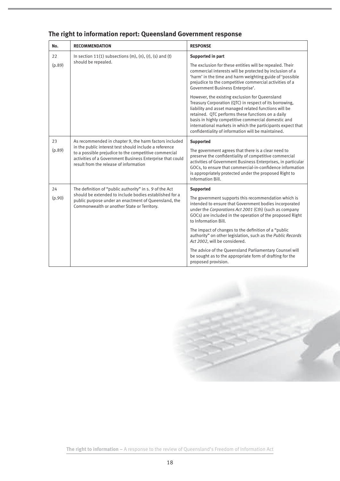| No.    | <b>RECOMMENDATION</b>                                                                                                                                                                                                    | <b>RESPONSE</b>                                                                                                                                                                                                                                                                                                                                                                                     |
|--------|--------------------------------------------------------------------------------------------------------------------------------------------------------------------------------------------------------------------------|-----------------------------------------------------------------------------------------------------------------------------------------------------------------------------------------------------------------------------------------------------------------------------------------------------------------------------------------------------------------------------------------------------|
| 22     | In section 11(1) subsections $(m)$ , $(n)$ , $(r)$ , $(s)$ and $(t)$<br>should be repealed.                                                                                                                              | Supported in part                                                                                                                                                                                                                                                                                                                                                                                   |
| (p.89) |                                                                                                                                                                                                                          | The exclusion for these entities will be repealed. Their<br>commercial interests will be protected by inclusion of a<br>'harm' in the time and harm weighting guide of 'possible<br>prejudice to the competitive commercial activities of a<br>Government Business Enterprise'.                                                                                                                     |
|        |                                                                                                                                                                                                                          | However, the existing exclusion for Queensland<br>Treasury Corporation (QTC) in respect of its borrowing,<br>liability and asset managed related functions will be<br>retained. QTC performs these functions on a daily<br>basis in highly competitive commercial domestic and<br>international markets in which the participants expect that<br>confidentiality of information will be maintained. |
| 23     | As recommended in chapter 9, the harm factors included                                                                                                                                                                   | <b>Supported</b>                                                                                                                                                                                                                                                                                                                                                                                    |
| (p.89) | in the public interest test should include a reference<br>to a possible prejudice to the competitive commercial<br>activities of a Government Business Enterprise that could<br>result from the release of information   | The government agrees that there is a clear need to<br>preserve the confidentiality of competitive commercial<br>activities of Government Business Enterprises, in particular<br>GOCs, to ensure that commercial-in-confidence information<br>is appropriately protected under the proposed Right to<br>Information Bill.                                                                           |
| 24     | The definition of "public authority" in s. 9 of the Act<br>should be extended to include bodies established for a<br>public purpose under an enactment of Queensland, the<br>Commonwealth or another State or Territory. | <b>Supported</b>                                                                                                                                                                                                                                                                                                                                                                                    |
| (p.90) |                                                                                                                                                                                                                          | The government supports this recommendation which is<br>intended to ensure that Government bodies incorporated<br>under the Corporations Act 2001 (Cth) (such as company<br>GOCs) are included in the operation of the proposed Right<br>to Information Bill.                                                                                                                                       |
|        |                                                                                                                                                                                                                          | The impact of changes to the definition of a "public<br>authority" on other legislation, such as the Public Records<br>Act 2002, will be considered.                                                                                                                                                                                                                                                |
|        |                                                                                                                                                                                                                          | The advice of the Queensland Parliamentary Counsel will<br>be sought as to the appropriate form of drafting for the<br>proposed provision.                                                                                                                                                                                                                                                          |

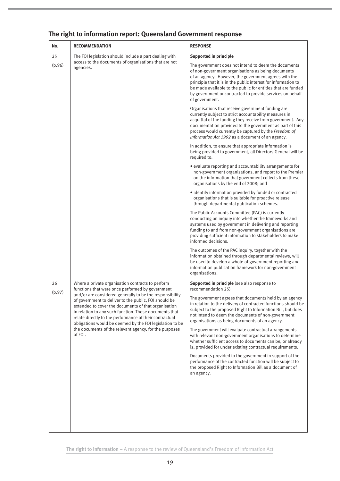| No.    | <b>RECOMMENDATION</b>                                                                                                                                                                                                                                                                                                                                                                                                                                               | <b>RESPONSE</b>                                                                                                                                                                                                                                                                                                                                                                      |
|--------|---------------------------------------------------------------------------------------------------------------------------------------------------------------------------------------------------------------------------------------------------------------------------------------------------------------------------------------------------------------------------------------------------------------------------------------------------------------------|--------------------------------------------------------------------------------------------------------------------------------------------------------------------------------------------------------------------------------------------------------------------------------------------------------------------------------------------------------------------------------------|
| 25     | The FOI legislation should include a part dealing with<br>access to the documents of organisations that are not<br>(p.96)<br>agencies.                                                                                                                                                                                                                                                                                                                              | <b>Supported in principle</b>                                                                                                                                                                                                                                                                                                                                                        |
|        |                                                                                                                                                                                                                                                                                                                                                                                                                                                                     | The government does not intend to deem the documents<br>of non-government organisations as being documents<br>of an agency. However, the government agrees with the<br>principle that it is in the public interest for information to<br>be made available to the public for entities that are funded<br>by government or contracted to provide services on behalf<br>of government. |
|        |                                                                                                                                                                                                                                                                                                                                                                                                                                                                     | Organisations that receive government funding are<br>currently subject to strict accountability measures in<br>acquittal of the funding they receive from government. Any<br>documentation provided to the government as part of this<br>process would currently be captured by the Freedom of<br>Information Act 1992 as a document of an agency.                                   |
|        |                                                                                                                                                                                                                                                                                                                                                                                                                                                                     | In addition, to ensure that appropriate information is<br>being provided to government, all Directors-General will be<br>required to:                                                                                                                                                                                                                                                |
|        |                                                                                                                                                                                                                                                                                                                                                                                                                                                                     | • evaluate reporting and accountability arrangements for<br>non-government organisations, and report to the Premier<br>on the information that government collects from these<br>organisations by the end of 2008; and                                                                                                                                                               |
|        |                                                                                                                                                                                                                                                                                                                                                                                                                                                                     | • identify information provided by funded or contracted<br>organisations that is suitable for proactive release<br>through departmental publication schemes.                                                                                                                                                                                                                         |
|        |                                                                                                                                                                                                                                                                                                                                                                                                                                                                     | The Public Accounts Committee (PAC) is currently<br>conducting an inquiry into whether the frameworks and<br>systems used by government in delivering and reporting<br>funding to and from non-government organisations are<br>providing sufficient information to stakeholders to make<br>informed decisions.                                                                       |
|        |                                                                                                                                                                                                                                                                                                                                                                                                                                                                     | The outcomes of the PAC inquiry, together with the<br>information obtained through departmental reviews, will<br>be used to develop a whole-of-government reporting and<br>information publication framework for non-government<br>organisations.                                                                                                                                    |
| 26     | Where a private organisation contracts to perform<br>functions that were once performed by government<br>and/or are considered generally to be the responsibility<br>of government to deliver to the public, FOI should be<br>extended to cover the documents of that organisation<br>in relation to any such function. Those documents that<br>relate directly to the performance of their contractual<br>obligations would be deemed by the FOI legislation to be | Supported in principle (see also response to<br>recommendation 25)                                                                                                                                                                                                                                                                                                                   |
| (p.97) |                                                                                                                                                                                                                                                                                                                                                                                                                                                                     | The government agrees that documents held by an agency<br>in relation to the delivery of contracted functions should be<br>subject to the proposed Right to Information Bill, but does<br>not intend to deem the documents of non-government<br>organisations as being documents of an agency.                                                                                       |
|        | the documents of the relevant agency, for the purposes<br>of FOI.                                                                                                                                                                                                                                                                                                                                                                                                   | The government will evaluate contractual arrangements<br>with relevant non-government organisations to determine<br>whether sufficient access to documents can be, or already<br>is, provided for under existing contractual requirements.                                                                                                                                           |
|        |                                                                                                                                                                                                                                                                                                                                                                                                                                                                     | Documents provided to the government in support of the<br>performance of the contracted function will be subject to<br>the proposed Right to Information Bill as a document of<br>an agency.                                                                                                                                                                                         |
|        |                                                                                                                                                                                                                                                                                                                                                                                                                                                                     |                                                                                                                                                                                                                                                                                                                                                                                      |
|        |                                                                                                                                                                                                                                                                                                                                                                                                                                                                     |                                                                                                                                                                                                                                                                                                                                                                                      |
|        |                                                                                                                                                                                                                                                                                                                                                                                                                                                                     |                                                                                                                                                                                                                                                                                                                                                                                      |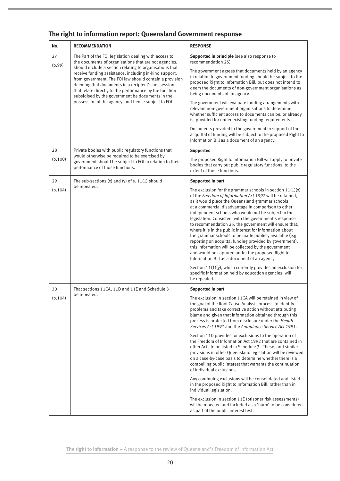| No.          | <b>RECOMMENDATION</b>                                                                                                                                                                                                                                                                                                                             | <b>RESPONSE</b>                                                                                                                                                                                                                                                                                                                                                                                                                                                                                                                                                                                                                                                                                                                                                                                                                                                                         |
|--------------|---------------------------------------------------------------------------------------------------------------------------------------------------------------------------------------------------------------------------------------------------------------------------------------------------------------------------------------------------|-----------------------------------------------------------------------------------------------------------------------------------------------------------------------------------------------------------------------------------------------------------------------------------------------------------------------------------------------------------------------------------------------------------------------------------------------------------------------------------------------------------------------------------------------------------------------------------------------------------------------------------------------------------------------------------------------------------------------------------------------------------------------------------------------------------------------------------------------------------------------------------------|
| 27<br>(p.99) | The Part of the FOI legislation dealing with access to<br>the documents of organisations that are not agencies,                                                                                                                                                                                                                                   | Supported in principle (see also response to<br>recommendation 25)                                                                                                                                                                                                                                                                                                                                                                                                                                                                                                                                                                                                                                                                                                                                                                                                                      |
|              | should include a section relating to organisations that<br>receive funding assistance, including in-kind support,<br>from government. The FOI law should contain a provision<br>deeming that documents in a recipient's possession<br>that relate directly to the performance by the function<br>subsidised by the government be documents in the | The government agrees that documents held by an agency<br>in relation to government funding should be subject to the<br>proposed Right to Information Bill, but does not intend to<br>deem the documents of non-government organisations as<br>being documents of an agency.                                                                                                                                                                                                                                                                                                                                                                                                                                                                                                                                                                                                            |
|              | possession of the agency, and hence subject to FOI.                                                                                                                                                                                                                                                                                               | The government will evaluate funding arrangements with<br>relevant non-government organisations to determine<br>whether sufficient access to documents can be, or already<br>is, provided for under existing funding requirements.                                                                                                                                                                                                                                                                                                                                                                                                                                                                                                                                                                                                                                                      |
|              |                                                                                                                                                                                                                                                                                                                                                   | Documents provided to the government in support of the<br>acquittal of funding will be subject to the proposed Right to<br>Information Bill as a document of an agency.                                                                                                                                                                                                                                                                                                                                                                                                                                                                                                                                                                                                                                                                                                                 |
| 28           | Private bodies with public regulatory functions that                                                                                                                                                                                                                                                                                              | <b>Supported</b>                                                                                                                                                                                                                                                                                                                                                                                                                                                                                                                                                                                                                                                                                                                                                                                                                                                                        |
| (p.100)      | would otherwise be required to be exercised by<br>government should be subject to FOI in relation to their<br>performance of those functions.                                                                                                                                                                                                     | The proposed Right to Information Bill will apply to private<br>bodies that carry out public regulatory functions, to the<br>extent of those functions.                                                                                                                                                                                                                                                                                                                                                                                                                                                                                                                                                                                                                                                                                                                                 |
| 29           | The sub-sections $(x)$ and $(y)$ of s. 11(1) should                                                                                                                                                                                                                                                                                               | Supported in part                                                                                                                                                                                                                                                                                                                                                                                                                                                                                                                                                                                                                                                                                                                                                                                                                                                                       |
| (p.104)      | be repealed.                                                                                                                                                                                                                                                                                                                                      | The exclusion for the grammar schools in section $11(1)(x)$<br>of the Freedom of Information Act 1992 will be retained,<br>as it would place the Queensland grammar schools<br>at a commercial disadvantage in comparison to other<br>independent schools who would not be subject to the<br>legislation. Consistent with the government's response<br>to recommendation 25, the government will ensure that,<br>where it is in the public interest for information about<br>the grammar schools to be made publicly available (e.g.<br>reporting on acquittal funding provided by government),<br>this information will be collected by the government<br>and would be captured under the proposed Right to<br>Information Bill as a document of an agency.<br>Section $11(1)(y)$ , which currently provides an exclusion for<br>specific information held by education agencies, will |
|              |                                                                                                                                                                                                                                                                                                                                                   | be repealed.                                                                                                                                                                                                                                                                                                                                                                                                                                                                                                                                                                                                                                                                                                                                                                                                                                                                            |
| 30           | That sections 11CA, 11D and 11E and Schedule 3<br>be repealed.                                                                                                                                                                                                                                                                                    | Supported in part                                                                                                                                                                                                                                                                                                                                                                                                                                                                                                                                                                                                                                                                                                                                                                                                                                                                       |
| (p.104)      |                                                                                                                                                                                                                                                                                                                                                   | The exclusion in section 11CA will be retained in view of<br>the goal of the Root Cause Analysis process to identify<br>problems and take corrective action without attributing<br>blame and given that information obtained through this<br>process is protected from disclosure under the Health<br>Services Act 1991 and the Ambulance Service Act 1991.                                                                                                                                                                                                                                                                                                                                                                                                                                                                                                                             |
|              |                                                                                                                                                                                                                                                                                                                                                   | Section 11D provides for exclusions to the operation of<br>the Freedom of Information Act 1992 that are contained in<br>other Acts to be listed in Schedule 3. These, and similar<br>provisions in other Queensland legislation will be reviewed<br>on a case-by-case basis to determine whether there is a<br>compelling public interest that warrants the continuation<br>of individual exclusions.                                                                                                                                                                                                                                                                                                                                                                                                                                                                                   |
|              |                                                                                                                                                                                                                                                                                                                                                   | Any continuing exclusions will be consolidated and listed<br>in the proposed Right to Information Bill, rather than in<br>individual legislation.                                                                                                                                                                                                                                                                                                                                                                                                                                                                                                                                                                                                                                                                                                                                       |
|              |                                                                                                                                                                                                                                                                                                                                                   | The exclusion in section 11E (prisoner risk assessments)<br>will be repealed and included as a 'harm' to be considered<br>as part of the public interest test.                                                                                                                                                                                                                                                                                                                                                                                                                                                                                                                                                                                                                                                                                                                          |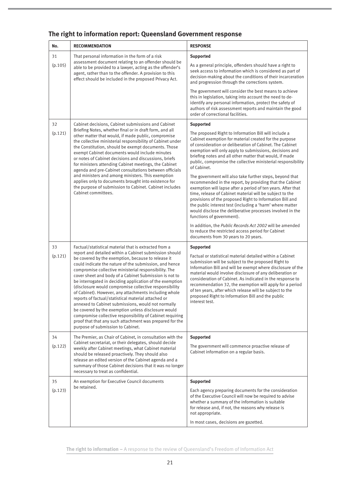| No.     | <b>RECOMMENDATION</b>                                                                                                                                                                                                                                                                                                                                                                                                                                                                                                                                                                                                                                                                                                                                                                                      | <b>RESPONSE</b>                                                                                                                                                                                                                                                                                                                                                                                                                                                                                         |  |
|---------|------------------------------------------------------------------------------------------------------------------------------------------------------------------------------------------------------------------------------------------------------------------------------------------------------------------------------------------------------------------------------------------------------------------------------------------------------------------------------------------------------------------------------------------------------------------------------------------------------------------------------------------------------------------------------------------------------------------------------------------------------------------------------------------------------------|---------------------------------------------------------------------------------------------------------------------------------------------------------------------------------------------------------------------------------------------------------------------------------------------------------------------------------------------------------------------------------------------------------------------------------------------------------------------------------------------------------|--|
| 31      | That personal information in the form of a risk                                                                                                                                                                                                                                                                                                                                                                                                                                                                                                                                                                                                                                                                                                                                                            | <b>Supported</b>                                                                                                                                                                                                                                                                                                                                                                                                                                                                                        |  |
| (p.105) | assessment document relating to an offender should be<br>able to be provided to a lawyer, acting as the offender's<br>agent, rather than to the offender. A provision to this<br>effect should be included in the proposed Privacy Act.                                                                                                                                                                                                                                                                                                                                                                                                                                                                                                                                                                    | As a general principle, offenders should have a right to<br>seek access to information which is considered as part of<br>decision-making about the conditions of their incarceration<br>and progression through the corrections system.                                                                                                                                                                                                                                                                 |  |
|         |                                                                                                                                                                                                                                                                                                                                                                                                                                                                                                                                                                                                                                                                                                                                                                                                            | The government will consider the best means to achieve<br>this in legislation, taking into account the need to de-<br>identify any personal information, protect the safety of<br>authors of risk assessment reports and maintain the good<br>order of correctional facilities.                                                                                                                                                                                                                         |  |
| 32      | Cabinet decisions, Cabinet submissions and Cabinet                                                                                                                                                                                                                                                                                                                                                                                                                                                                                                                                                                                                                                                                                                                                                         | <b>Supported</b>                                                                                                                                                                                                                                                                                                                                                                                                                                                                                        |  |
| (p.121) | Briefing Notes, whether final or in draft form, and all<br>other matter that would, if made public, compromise<br>the collective ministerial responsibility of Cabinet under<br>the Constitution, should be exempt documents. Those<br>exempt Cabinet documents would include minutes<br>or notes of Cabinet decisions and discussions, briefs<br>for ministers attending Cabinet meetings, the Cabinet<br>agenda and pre-Cabinet consultations between officials                                                                                                                                                                                                                                                                                                                                          | The proposed Right to Information Bill will include a<br>Cabinet exemption for material created for the purpose<br>of consideration or deliberation of Cabinet. The Cabinet<br>exemption will only apply to submissions, decisions and<br>briefing notes and all other matter that would, if made<br>public, compromise the collective ministerial responsibility<br>of Cabinet.                                                                                                                        |  |
|         | and ministers and among ministers. This exemption<br>applies only to documents brought into existence for<br>the purpose of submission to Cabinet. Cabinet includes<br>Cabinet committees.                                                                                                                                                                                                                                                                                                                                                                                                                                                                                                                                                                                                                 | The government will also take further steps, beyond that<br>recommended in the report, by providing that the Cabinet<br>exemption will lapse after a period of ten years. After that<br>time, release of Cabinet material will be subject to the<br>provisions of the proposed Right to Information Bill and<br>the public interest test (including a 'harm' where matter<br>would disclose the deliberative processes involved in the<br>functions of government).                                     |  |
|         |                                                                                                                                                                                                                                                                                                                                                                                                                                                                                                                                                                                                                                                                                                                                                                                                            | In addition, the Public Records Act 2002 will be amended<br>to reduce the restricted access period for Cabinet<br>documents from 30 years to 20 years.                                                                                                                                                                                                                                                                                                                                                  |  |
| 33      | Factual/statistical material that is extracted from a                                                                                                                                                                                                                                                                                                                                                                                                                                                                                                                                                                                                                                                                                                                                                      | Supported                                                                                                                                                                                                                                                                                                                                                                                                                                                                                               |  |
| (p.121) | report and detailed within a Cabinet submission should<br>be covered by the exemption, because to release it<br>could indicate the nature of the submission, and hence<br>compromise collective ministerial responsibility. The<br>cover sheet and body of a Cabinet Submission is not to<br>be interrogated in deciding application of the exemption<br>(disclosure would compromise collective responsibility<br>of Cabinet). However, any attachments including whole<br>reports of factual/statistical material attached or<br>annexed to Cabinet submissions, would not normally<br>be covered by the exemption unless disclosure would<br>compromise collective responsibility of Cabinet requiring<br>proof that that any such attachment was prepared for the<br>purpose of submission to Cabinet. | Factual or statistical material detailed within a Cabinet<br>submission will be subject to the proposed Right to<br>Information Bill and will be exempt where disclosure of the<br>material would involve disclosure of any deliberation or<br>consideration of Cabinet. As indicated in the response to<br>recommendation 32, the exemption will apply for a period<br>of ten years, after which release will be subject to the<br>proposed Right to Information Bill and the public<br>interest test. |  |
| 34      | The Premier, as Chair of Cabinet, in consultation with the                                                                                                                                                                                                                                                                                                                                                                                                                                                                                                                                                                                                                                                                                                                                                 | <b>Supported</b>                                                                                                                                                                                                                                                                                                                                                                                                                                                                                        |  |
| (p.122) | Cabinet secretariat, or their delegates, should decide<br>weekly after Cabinet meetings, what Cabinet material<br>should be released proactively. They should also<br>release an edited version of the Cabinet agenda and a<br>summary of those Cabinet decisions that it was no longer<br>necessary to treat as confidential.                                                                                                                                                                                                                                                                                                                                                                                                                                                                             | The government will commence proactive release of<br>Cabinet information on a regular basis.                                                                                                                                                                                                                                                                                                                                                                                                            |  |
| 35      | An exemption for Executive Council documents                                                                                                                                                                                                                                                                                                                                                                                                                                                                                                                                                                                                                                                                                                                                                               | <b>Supported</b>                                                                                                                                                                                                                                                                                                                                                                                                                                                                                        |  |
| (p.123) | be retained.                                                                                                                                                                                                                                                                                                                                                                                                                                                                                                                                                                                                                                                                                                                                                                                               | Each agency preparing documents for the consideration<br>of the Executive Council will now be required to advise<br>whether a summary of the information is suitable<br>for release and, if not, the reasons why release is<br>not appropriate.                                                                                                                                                                                                                                                         |  |
|         |                                                                                                                                                                                                                                                                                                                                                                                                                                                                                                                                                                                                                                                                                                                                                                                                            | In most cases, decisions are gazetted.                                                                                                                                                                                                                                                                                                                                                                                                                                                                  |  |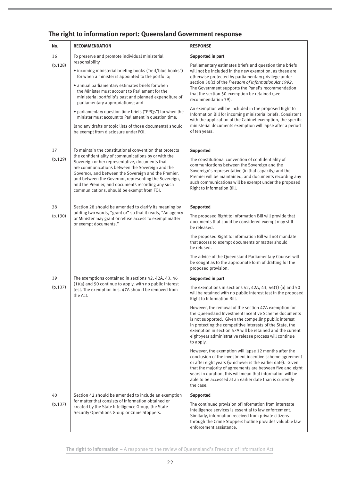| No.           | <b>RECOMMENDATION</b>                                                                                                                                                                                                                                                                                                                                                                                                                                                                                                                                               | <b>RESPONSE</b>                                                                                                                                                                                                                                                                                                                                                                                                                                                                                                                                                                                                                           |  |
|---------------|---------------------------------------------------------------------------------------------------------------------------------------------------------------------------------------------------------------------------------------------------------------------------------------------------------------------------------------------------------------------------------------------------------------------------------------------------------------------------------------------------------------------------------------------------------------------|-------------------------------------------------------------------------------------------------------------------------------------------------------------------------------------------------------------------------------------------------------------------------------------------------------------------------------------------------------------------------------------------------------------------------------------------------------------------------------------------------------------------------------------------------------------------------------------------------------------------------------------------|--|
| 36            | To preserve and promote individual ministerial                                                                                                                                                                                                                                                                                                                                                                                                                                                                                                                      | Supported in part                                                                                                                                                                                                                                                                                                                                                                                                                                                                                                                                                                                                                         |  |
| (p.128)       | responsibility<br>• incoming ministerial briefing books ("red/blue books")<br>for when a minister is appointed to the portfolio;<br>• annual parliamentary estimates briefs for when<br>the Minister must account to Parliament for the<br>ministerial portfolio's past and planned expenditure of<br>parliamentary appropriations; and<br>• parliamentary question time briefs ("PPQs") for when the<br>minister must account to Parliament in question time;<br>(and any drafts or topic lists of those documents) should<br>be exempt from disclosure under FOI. | Parliamentary estimates briefs and question time briefs<br>will not be included in the new exemption, as these are<br>otherwise protected by parliamentary privilege under<br>section 50(c) of the Freedom of Information Act 1992.<br>The Government supports the Panel's recommendation<br>that the section 50 exemption be retained (see<br>recommendation 39).<br>An exemption will be included in the proposed Right to<br>Information Bill for incoming ministerial briefs. Consistent<br>with the application of the Cabinet exemption, the specific<br>ministerial documents exemption will lapse after a period<br>of ten years. |  |
|               |                                                                                                                                                                                                                                                                                                                                                                                                                                                                                                                                                                     |                                                                                                                                                                                                                                                                                                                                                                                                                                                                                                                                                                                                                                           |  |
| 37<br>(p.129) | To maintain the constitutional convention that protects<br>the confidentiality of communications by or with the<br>Sovereign or her representative, documents that<br>are communications between the Sovereign and the<br>Governor, and between the Sovereign and the Premier,<br>and between the Governor, representing the Sovereign,<br>and the Premier, and documents recording any such<br>communications, should be exempt from FOI.                                                                                                                          | <b>Supported</b><br>The constitutional convention of confidentiality of<br>communications between the Sovereign and the<br>Sovereign's representative (in that capacity) and the<br>Premier will be maintained, and documents recording any<br>such communications will be exempt under the proposed<br>Right to Information Bill.                                                                                                                                                                                                                                                                                                        |  |
| 38            | Section 28 should be amended to clarify its meaning by                                                                                                                                                                                                                                                                                                                                                                                                                                                                                                              | <b>Supported</b>                                                                                                                                                                                                                                                                                                                                                                                                                                                                                                                                                                                                                          |  |
| (p.130)       | adding two words, "grant or" so that it reads, "An agency<br>or Minister may grant or refuse access to exempt matter<br>or exempt documents."                                                                                                                                                                                                                                                                                                                                                                                                                       | The proposed Right to Information Bill will provide that<br>documents that could be considered exempt may still<br>be released.                                                                                                                                                                                                                                                                                                                                                                                                                                                                                                           |  |
|               |                                                                                                                                                                                                                                                                                                                                                                                                                                                                                                                                                                     | The proposed Right to Information Bill will not mandate<br>that access to exempt documents or matter should<br>be refused.                                                                                                                                                                                                                                                                                                                                                                                                                                                                                                                |  |
|               |                                                                                                                                                                                                                                                                                                                                                                                                                                                                                                                                                                     | The advice of the Queensland Parliamentary Counsel will<br>be sought as to the appropriate form of drafting for the<br>proposed provision.                                                                                                                                                                                                                                                                                                                                                                                                                                                                                                |  |
| 39            | The exemptions contained in sections 42, 42A, 43, 46                                                                                                                                                                                                                                                                                                                                                                                                                                                                                                                | Supported in part                                                                                                                                                                                                                                                                                                                                                                                                                                                                                                                                                                                                                         |  |
| (p.137)       | $(1)(a)$ and 50 continue to apply, with no public interest<br>test. The exemption in s. 47A should be removed from<br>the Act.                                                                                                                                                                                                                                                                                                                                                                                                                                      | The exemptions in sections 42, 42A, 43, 46(1) (a) and 50<br>will be retained with no public interest test in the proposed<br>Right to Information Bill.                                                                                                                                                                                                                                                                                                                                                                                                                                                                                   |  |
|               |                                                                                                                                                                                                                                                                                                                                                                                                                                                                                                                                                                     | However, the removal of the section 47A exemption for<br>the Queensland Investment Incentive Scheme documents<br>is not supported. Given the compelling public interest<br>in protecting the competitive interests of the State, the<br>exemption in section 47A will be retained and the current<br>eight-year administrative release process will continue<br>to apply.                                                                                                                                                                                                                                                                 |  |
|               |                                                                                                                                                                                                                                                                                                                                                                                                                                                                                                                                                                     | However, the exemption will lapse 12 months after the<br>conclusion of the investment incentive scheme agreement<br>or after eight years (whichever is the earlier date). Given<br>that the majority of agreements are between five and eight<br>years in duration, this will mean that information will be<br>able to be accessed at an earlier date than is currently<br>the case.                                                                                                                                                                                                                                                      |  |
| 40<br>(p.137) | Section 42 should be amended to include an exemption<br>for matter that consists of information obtained or<br>created by the State Intelligence Group, the State<br>Security Operations Group or Crime Stoppers.                                                                                                                                                                                                                                                                                                                                                   | <b>Supported</b><br>The continued provision of information from interstate<br>intelligence services is essential to law enforcement.<br>Similarly, information received from private citizens<br>through the Crime Stoppers hotline provides valuable law                                                                                                                                                                                                                                                                                                                                                                                 |  |
|               |                                                                                                                                                                                                                                                                                                                                                                                                                                                                                                                                                                     | enforcement assistance.                                                                                                                                                                                                                                                                                                                                                                                                                                                                                                                                                                                                                   |  |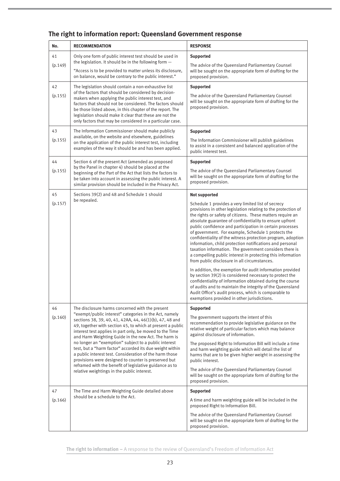| No.           | <b>RECOMMENDATION</b>                                                                                                                                                                                                                                                                                                                                                                                                                                                                                                                                                                                                                                                                                    | <b>RESPONSE</b>                                                                                                                                                                                                                                                                                                                                                                                                                                                                                                                                                                                                                                                                                                                                                                                                                                                                                                                                                                                                                                       |  |
|---------------|----------------------------------------------------------------------------------------------------------------------------------------------------------------------------------------------------------------------------------------------------------------------------------------------------------------------------------------------------------------------------------------------------------------------------------------------------------------------------------------------------------------------------------------------------------------------------------------------------------------------------------------------------------------------------------------------------------|-------------------------------------------------------------------------------------------------------------------------------------------------------------------------------------------------------------------------------------------------------------------------------------------------------------------------------------------------------------------------------------------------------------------------------------------------------------------------------------------------------------------------------------------------------------------------------------------------------------------------------------------------------------------------------------------------------------------------------------------------------------------------------------------------------------------------------------------------------------------------------------------------------------------------------------------------------------------------------------------------------------------------------------------------------|--|
| 41<br>(p.149) | Only one form of public interest test should be used in<br>the legislation. It should be in the following form -<br>"Access is to be provided to matter unless its disclosure,<br>on balance, would be contrary to the public interest."                                                                                                                                                                                                                                                                                                                                                                                                                                                                 | <b>Supported</b><br>The advice of the Queensland Parliamentary Counsel<br>will be sought on the appropriate form of drafting for the<br>proposed provision.                                                                                                                                                                                                                                                                                                                                                                                                                                                                                                                                                                                                                                                                                                                                                                                                                                                                                           |  |
| 42<br>(p.155) | The legislation should contain a non-exhaustive list<br>of the factors that should be considered by decision-<br>makers when applying the public interest test, and<br>factors that should not be considered. The factors should<br>be those listed above, in this chapter of the report. The<br>legislation should make it clear that these are not the<br>only factors that may be considered in a particular case.                                                                                                                                                                                                                                                                                    | <b>Supported</b><br>The advice of the Queensland Parliamentary Counsel<br>will be sought on the appropriate form of drafting for the<br>proposed provision.                                                                                                                                                                                                                                                                                                                                                                                                                                                                                                                                                                                                                                                                                                                                                                                                                                                                                           |  |
| 43<br>(p.155) | The Information Commissioner should make publicly<br>available, on the website and elsewhere, guidelines<br>on the application of the public interest test, including<br>examples of the way it should be and has been applied.                                                                                                                                                                                                                                                                                                                                                                                                                                                                          | <b>Supported</b><br>The Information Commissioner will publish guidelines<br>to assist in a consistent and balanced application of the<br>public interest test.                                                                                                                                                                                                                                                                                                                                                                                                                                                                                                                                                                                                                                                                                                                                                                                                                                                                                        |  |
| 44<br>(p.155) | Section 6 of the present Act (amended as proposed<br>by the Panel in chapter 4) should be placed at the<br>beginning of the Part of the Act that lists the factors to<br>be taken into account in assessing the public interest. A<br>similar provision should be included in the Privacy Act.                                                                                                                                                                                                                                                                                                                                                                                                           | <b>Supported</b><br>The advice of the Queensland Parliamentary Counsel<br>will be sought on the appropriate form of drafting for the<br>proposed provision.                                                                                                                                                                                                                                                                                                                                                                                                                                                                                                                                                                                                                                                                                                                                                                                                                                                                                           |  |
| 45<br>(p.157) | Sections 39(2) and 48 and Schedule 1 should<br>be repealed.                                                                                                                                                                                                                                                                                                                                                                                                                                                                                                                                                                                                                                              | <b>Not supported</b><br>Schedule 1 provides a very limited list of secrecy<br>provisions in other legislation relating to the protection of<br>the rights or safety of citizens. These matters require an<br>absolute guarantee of confidentiality to ensure upfront<br>public confidence and participation in certain processes<br>of government. For example, Schedule 1 protects the<br>confidentiality of the witness protection program, adoption<br>information, child protection notifications and personal<br>taxation information. The government considers there is<br>a compelling public interest in protecting this information<br>from public disclosure in all circumstances.<br>In addition, the exemption for audit information provided<br>by section 39(2) is considered necessary to protect the<br>confidentiality of information obtained during the course<br>of audits and to maintain the integrity of the Queensland<br>Audit Office's audit process, which is comparable to<br>exemptions provided in other jurisdictions. |  |
| 46<br>(p.160) | The disclosure harms concerned with the present<br>"exempt/public interest" categories in the Act, namely<br>sections 38, 39, 40, 41, 42AA, 44, 46(1)(b), 47, 48 and<br>49, together with section 45, to which at present a public<br>interest test applies in part only, be moved to the Time<br>and Harm Weighting Guide in the new Act. The harm is<br>no longer an "exemption" subject to a public interest<br>test, but a "harm factor" accorded its due weight within<br>a public interest test. Consideration of the harm those<br>provisions were designed to counter is preserved but<br>reframed with the benefit of legislative guidance as to<br>relative weightings in the public interest. | <b>Supported</b><br>The government supports the intent of this<br>recommendation to provide legislative guidance on the<br>relative weight of particular factors which may balance<br>against disclosure of information.<br>The proposed Right to Information Bill will include a time<br>and harm weighting guide which will detail the list of<br>harms that are to be given higher weight in assessing the<br>public interest.<br>The advice of the Queensland Parliamentary Counsel<br>will be sought on the appropriate form of drafting for the<br>proposed provision.                                                                                                                                                                                                                                                                                                                                                                                                                                                                          |  |
| 47<br>(p.166) | The Time and Harm Weighting Guide detailed above<br>should be a schedule to the Act.                                                                                                                                                                                                                                                                                                                                                                                                                                                                                                                                                                                                                     | <b>Supported</b><br>A time and harm weighting guide will be included in the<br>proposed Right to Information Bill.<br>The advice of the Queensland Parliamentary Counsel<br>will be sought on the appropriate form of drafting for the<br>proposed provision.                                                                                                                                                                                                                                                                                                                                                                                                                                                                                                                                                                                                                                                                                                                                                                                         |  |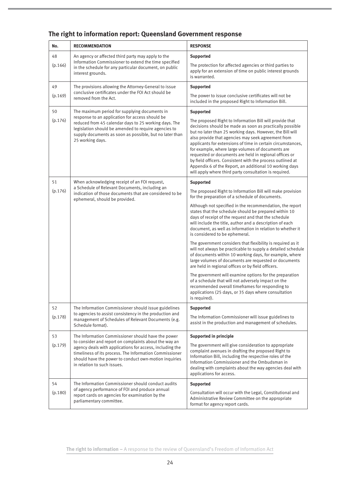| No.                 | <b>RECOMMENDATION</b>                                                                                                                                                                                                                                                                            | <b>RESPONSE</b>                                                                                                                                                                                                                                                                                                                                                                                                                                                                                                                                                                                                                                                                                                                                                                                                                                                                                                                                                                                                                    |  |
|---------------------|--------------------------------------------------------------------------------------------------------------------------------------------------------------------------------------------------------------------------------------------------------------------------------------------------|------------------------------------------------------------------------------------------------------------------------------------------------------------------------------------------------------------------------------------------------------------------------------------------------------------------------------------------------------------------------------------------------------------------------------------------------------------------------------------------------------------------------------------------------------------------------------------------------------------------------------------------------------------------------------------------------------------------------------------------------------------------------------------------------------------------------------------------------------------------------------------------------------------------------------------------------------------------------------------------------------------------------------------|--|
| 48<br>(p.166)       | An agency or affected third party may apply to the<br>Information Commissioner to extend the time specified<br>in the schedule for any particular document, on public<br>interest grounds.                                                                                                       | <b>Supported</b><br>The protection for affected agencies or third parties to<br>apply for an extension of time on public interest grounds<br>is warranted.                                                                                                                                                                                                                                                                                                                                                                                                                                                                                                                                                                                                                                                                                                                                                                                                                                                                         |  |
| 49<br>(p.169)       | The provisions allowing the Attorney-General to issue<br>conclusive certificates under the FOI Act should be<br>removed from the Act.                                                                                                                                                            | <b>Supported</b><br>The power to issue conclusive certificates will not be<br>included in the proposed Right to Information Bill.                                                                                                                                                                                                                                                                                                                                                                                                                                                                                                                                                                                                                                                                                                                                                                                                                                                                                                  |  |
| 50<br>(p.176)       | The maximum period for supplying documents in<br>response to an application for access should be<br>reduced from 45 calendar days to 25 working days. The<br>legislation should be amended to require agencies to<br>supply documents as soon as possible, but no later than<br>25 working days. | <b>Supported</b><br>The proposed Right to Information Bill will provide that<br>decisions should be made as soon as practically possible<br>but no later than 25 working days. However, the Bill will<br>also provide that agencies may seek agreement from<br>applicants for extensions of time in certain circumstances,<br>for example, where large volumes of documents are<br>requested or documents are held in regional offices or<br>by field officers. Consistent with the process outlined at<br>Appendix 6 of the Report, an additional 10 working days<br>will apply where third party consultation is required.                                                                                                                                                                                                                                                                                                                                                                                                       |  |
| 51<br>(p.176)       | When acknowledging receipt of an FOI request,<br>a Schedule of Relevant Documents, including an<br>indication of those documents that are considered to be<br>ephemeral, should be provided.                                                                                                     | <b>Supported</b><br>The proposed Right to Information Bill will make provision<br>for the preparation of a schedule of documents.<br>Although not specified in the recommendation, the report<br>states that the schedule should be prepared within 10<br>days of receipt of the request and that the schedule<br>will include the title, author and a description of each<br>document, as well as information in relation to whether it<br>is considered to be ephemeral.<br>The government considers that flexibility is required as it<br>will not always be practicable to supply a detailed schedule<br>of documents within 10 working days, for example, where<br>large volumes of documents are requested or documents<br>are held in regional offices or by field officers.<br>The government will examine options for the preparation<br>of a schedule that will not adversely impact on the<br>recommended overall timeframes for responding to<br>applications (25 days, or 35 days where consultation<br>is required). |  |
| 52<br>(p.178)<br>53 | The Information Commissioner should issue guidelines<br>to agencies to assist consistency in the production and<br>management of Schedules of Relevant Documents (e.g.<br>Schedule format).<br>The Information Commissioner should have the power                                                | <b>Supported</b><br>The Information Commissioner will issue guidelines to<br>assist in the production and management of schedules.<br>Supported in principle                                                                                                                                                                                                                                                                                                                                                                                                                                                                                                                                                                                                                                                                                                                                                                                                                                                                       |  |
| (p.179)             | to consider and report on complaints about the way an<br>agency deals with applications for access, including the<br>timeliness of its process. The Information Commissioner<br>should have the power to conduct own-motion inquiries<br>in relation to such issues.                             | The government will give consideration to appropriate<br>complaint avenues in drafting the proposed Right to<br>Information Bill, including the respective roles of the<br>Information Commissioner and the Ombudsman in<br>dealing with complaints about the way agencies deal with<br>applications for access.                                                                                                                                                                                                                                                                                                                                                                                                                                                                                                                                                                                                                                                                                                                   |  |
| 54<br>(p.180)       | The Information Commissioner should conduct audits<br>of agency performance of FOI and produce annual<br>report cards on agencies for examination by the<br>parliamentary committee.                                                                                                             | Supported<br>Consultation will occur with the Legal, Constitutional and<br>Administrative Review Committee on the appropriate<br>format for agency report cards.                                                                                                                                                                                                                                                                                                                                                                                                                                                                                                                                                                                                                                                                                                                                                                                                                                                                   |  |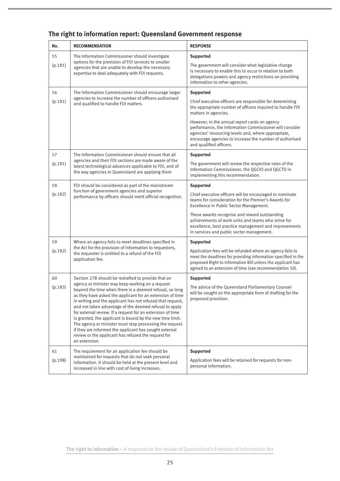| No.           | <b>RECOMMENDATION</b>                                                                                                                                                                                                                                                                                                                                                                                                                                                                                                                                                                                                                                                          | <b>RESPONSE</b>                                                                                                                                                                                                                                                                                                                                                                                                            |
|---------------|--------------------------------------------------------------------------------------------------------------------------------------------------------------------------------------------------------------------------------------------------------------------------------------------------------------------------------------------------------------------------------------------------------------------------------------------------------------------------------------------------------------------------------------------------------------------------------------------------------------------------------------------------------------------------------|----------------------------------------------------------------------------------------------------------------------------------------------------------------------------------------------------------------------------------------------------------------------------------------------------------------------------------------------------------------------------------------------------------------------------|
| 55<br>(p.181) | The Information Commissioner should investigate<br>options for the provision of FOI services to smaller<br>agencies that are unable to develop the necessary<br>expertise to deal adequately with FOI requests.                                                                                                                                                                                                                                                                                                                                                                                                                                                                | <b>Supported</b><br>The government will consider what legislative change<br>is necessary to enable this to occur in relation to both<br>delegations powers and agency restrictions on providing<br>information to other agencies.                                                                                                                                                                                          |
| 56<br>(p.181) | The Information Commissioner should encourage larger<br>agencies to increase the number of officers authorised<br>and qualified to handle FOI matters.                                                                                                                                                                                                                                                                                                                                                                                                                                                                                                                         | <b>Supported</b><br>Chief executive officers are responsible for determining<br>the appropriate number of officers required to handle FOI<br>matters in agencies.<br>However, in the annual report cards on agency<br>performance, the Information Commissioner will consider<br>agencies' resourcing levels and, where appropriate,<br>encourage agencies to increase the number of authorised<br>and qualified officers. |
| 57<br>(p.181) | The Information Commissioner should ensure that all<br>agencies and their FOI sections are made aware of the<br>latest technological advances applicable to FOI, and of<br>the way agencies in Queensland are applying them                                                                                                                                                                                                                                                                                                                                                                                                                                                    | <b>Supported</b><br>The government will review the respective roles of the<br>Information Commissioner, the QGCIO and QGCTO in<br>implementing this recommendation.                                                                                                                                                                                                                                                        |
| 58<br>(p.182) | FOI should be considered as part of the mainstream<br>function of government agencies and superior<br>performance by officers should merit official recognition.                                                                                                                                                                                                                                                                                                                                                                                                                                                                                                               | <b>Supported</b><br>Chief executive officers will be encouraged to nominate<br>teams for consideration for the Premier's Awards for<br>Excellence in Public Sector Management.<br>These awards recognise and reward outstanding<br>achievements of work units and teams who strive for<br>excellence, best practice management and improvements<br>in services and public sector management.                               |
| 59<br>(p.182) | Where an agency fails to meet deadlines specified in<br>the Act for the provision of information to requesters,<br>the requester is entitled to a refund of the FOI<br>application fee.                                                                                                                                                                                                                                                                                                                                                                                                                                                                                        | <b>Supported</b><br>Application fees will be refunded where an agency fails to<br>meet the deadlines for providing information specified in the<br>proposed Right to Information Bill unless the applicant has<br>agreed to an extension of time (see recommendation 50).                                                                                                                                                  |
| 60<br>(p.183) | Section 27B should be redrafted to provide that an<br>agency or minister may keep working on a request<br>beyond the time when there is a deemed refusal, so long<br>as they have asked the applicant for an extension of time<br>in writing and the applicant has not refused that request,<br>and not taken advantage of the deemed refusal to apply<br>for external review. If a request for an extension of time<br>is granted, the applicant is bound by the new time limit.<br>The agency or minister must stop processing the request<br>if they are informed the applicant has sought external<br>review or the applicant has refused the request for<br>an extension. | <b>Supported</b><br>The advice of the Queensland Parliamentary Counsel<br>will be sought on the appropriate form of drafting for the<br>proposed provision.                                                                                                                                                                                                                                                                |
| 61<br>(p.198) | The requirement for an application fee should be<br>maintained for requests that do not seek personal<br>information. It should be held at the present level and<br>increased in line with cost of living increases.                                                                                                                                                                                                                                                                                                                                                                                                                                                           | <b>Supported</b><br>Application fees will be retained for requests for non-<br>personal information.                                                                                                                                                                                                                                                                                                                       |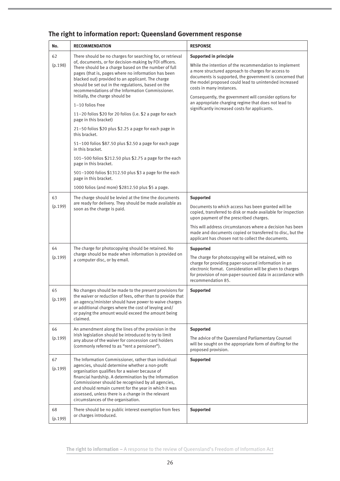| No.           | <b>RECOMMENDATION</b>                                                                                                                                                                                                                                                                                                                                                                                                           | <b>RESPONSE</b>                                                                                                                                                                                                                                                                                                          |  |
|---------------|---------------------------------------------------------------------------------------------------------------------------------------------------------------------------------------------------------------------------------------------------------------------------------------------------------------------------------------------------------------------------------------------------------------------------------|--------------------------------------------------------------------------------------------------------------------------------------------------------------------------------------------------------------------------------------------------------------------------------------------------------------------------|--|
| 62            | There should be no charges for searching for, or retrieval                                                                                                                                                                                                                                                                                                                                                                      | <b>Supported in principle</b>                                                                                                                                                                                                                                                                                            |  |
| (p.198)       | of, documents, or for decision-making by FOI officers.<br>There should be a charge based on the number of full<br>pages (that is, pages where no information has been<br>blacked out) provided to an applicant. The charge<br>should be set out in the regulations, based on the<br>recommendations of the Information Commissioner.<br>Initially, the charge should be                                                         | While the intention of the recommendation to implement<br>a more structured approach to charges for access to<br>documents is supported, the government is concerned that<br>the model proposed could lead to unintended increased<br>costs in many instances.<br>Consequently, the government will consider options for |  |
|               | 1-10 folios Free                                                                                                                                                                                                                                                                                                                                                                                                                | an appropriate charging regime that does not lead to                                                                                                                                                                                                                                                                     |  |
|               | 11-20 folios \$20 for 20 folios (i.e. \$2 a page for each<br>page in this bracket)                                                                                                                                                                                                                                                                                                                                              | significantly increased costs for applicants.                                                                                                                                                                                                                                                                            |  |
|               | 21-50 folios \$20 plus \$2.25 a page for each page in<br>this bracket.                                                                                                                                                                                                                                                                                                                                                          |                                                                                                                                                                                                                                                                                                                          |  |
|               | 51-100 folios \$87.50 plus \$2.50 a page for each page<br>in this bracket.                                                                                                                                                                                                                                                                                                                                                      |                                                                                                                                                                                                                                                                                                                          |  |
|               | 101-500 folios \$212.50 plus \$2.75 a page for the each<br>page in this bracket.                                                                                                                                                                                                                                                                                                                                                |                                                                                                                                                                                                                                                                                                                          |  |
|               | 501-1000 folios \$1312.50 plus \$3 a page for the each<br>page in this bracket.                                                                                                                                                                                                                                                                                                                                                 |                                                                                                                                                                                                                                                                                                                          |  |
|               | 1000 folios (and more) \$2812.50 plus \$5 a page.                                                                                                                                                                                                                                                                                                                                                                               |                                                                                                                                                                                                                                                                                                                          |  |
| 63            | The charge should be levied at the time the documents<br>are ready for delivery. They should be made available as                                                                                                                                                                                                                                                                                                               | Supported                                                                                                                                                                                                                                                                                                                |  |
| (p.199)       | soon as the charge is paid.                                                                                                                                                                                                                                                                                                                                                                                                     | Documents to which access has been granted will be<br>copied, transferred to disk or made available for inspection<br>upon payment of the prescribed charges.                                                                                                                                                            |  |
|               |                                                                                                                                                                                                                                                                                                                                                                                                                                 | This will address circumstances where a decision has been<br>made and documents copied or transferred to disc, but the<br>applicant has chosen not to collect the documents.                                                                                                                                             |  |
| 64            | The charge for photocopying should be retained. No                                                                                                                                                                                                                                                                                                                                                                              | <b>Supported</b>                                                                                                                                                                                                                                                                                                         |  |
| (p.199)       | charge should be made when information is provided on<br>a computer disc, or by email.                                                                                                                                                                                                                                                                                                                                          | The charge for photocopying will be retained, with no<br>charge for providing paper-sourced information in an<br>electronic format. Consideration will be given to charges<br>for provision of non-paper-sourced data in accordance with<br>recommendation 85.                                                           |  |
| 65<br>(p.199) | No changes should be made to the present provisions for<br>the waiver or reduction of fees, other than to provide that<br>an agency/minister should have power to waive charges<br>or additional charges where the cost of levying and/<br>or paying the amount would exceed the amount being<br>claimed.                                                                                                                       | <b>Supported</b>                                                                                                                                                                                                                                                                                                         |  |
| 66            | An amendment along the lines of the provision in the                                                                                                                                                                                                                                                                                                                                                                            | <b>Supported</b>                                                                                                                                                                                                                                                                                                         |  |
| (p.199)       | Irish legislation should be introduced to try to limit<br>any abuse of the waiver for concession card holders<br>(commonly referred to as "rent a pensioner").                                                                                                                                                                                                                                                                  | The advice of the Queensland Parliamentary Counsel<br>will be sought on the appropriate form of drafting for the<br>proposed provision.                                                                                                                                                                                  |  |
| 67<br>(p.199) | The Information Commissioner, rather than individual<br>agencies, should determine whether a non-profit<br>organisation qualifies for a waiver because of<br>financial hardship. A determination by the Information<br>Commissioner should be recognised by all agencies,<br>and should remain current for the year in which it was<br>assessed, unless there is a change in the relevant<br>circumstances of the organisation. | <b>Supported</b>                                                                                                                                                                                                                                                                                                         |  |
| 68<br>(p.199) | There should be no public interest exemption from fees<br>or charges introduced.                                                                                                                                                                                                                                                                                                                                                | <b>Supported</b>                                                                                                                                                                                                                                                                                                         |  |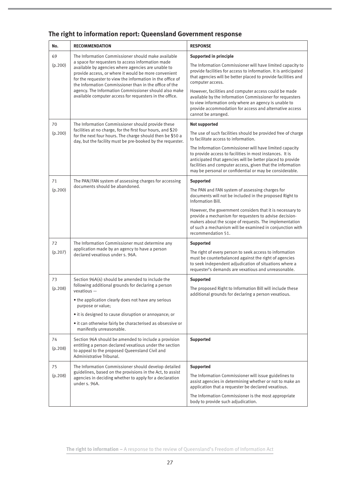| No.           | <b>RECOMMENDATION</b>                                                                                                                                                                                                                                                                   | <b>RESPONSE</b>                                                                                                                                                                                                                                                                                            |  |
|---------------|-----------------------------------------------------------------------------------------------------------------------------------------------------------------------------------------------------------------------------------------------------------------------------------------|------------------------------------------------------------------------------------------------------------------------------------------------------------------------------------------------------------------------------------------------------------------------------------------------------------|--|
| 69            | The Information Commissioner should make available                                                                                                                                                                                                                                      | <b>Supported in principle</b>                                                                                                                                                                                                                                                                              |  |
| (p.200)       | a space for requesters to access information made<br>available by agencies where agencies are unable to<br>provide access, or where it would be more convenient<br>for the requester to view the information in the office of<br>the Information Commissioner than in the office of the | The Information Commissioner will have limited capacity to<br>provide facilities for access to information. It is anticipated<br>that agencies will be better placed to provide facilities and<br>computer access.                                                                                         |  |
|               | agency. The Information Commissioner should also make<br>available computer access for requesters in the office.                                                                                                                                                                        | However, facilities and computer access could be made<br>available by the Information Commissioner for requesters<br>to view information only where an agency is unable to<br>provide accommodation for access and alternative access<br>cannot be arranged.                                               |  |
| 70            | The Information Commissioner should provide these                                                                                                                                                                                                                                       | <b>Not supported</b>                                                                                                                                                                                                                                                                                       |  |
| (p.200)       | facilities at no charge, for the first four hours, and \$20<br>for the next four hours. The charge should then be \$50 a<br>day, but the facility must be pre-booked by the requester.                                                                                                  | The use of such facilities should be provided free of charge<br>to facilitate access to information.                                                                                                                                                                                                       |  |
|               |                                                                                                                                                                                                                                                                                         | The Information Commissioner will have limited capacity<br>to provide access to facilities in most instances. It is<br>anticipated that agencies will be better placed to provide<br>facilities and computer access, given that the information<br>may be personal or confidential or may be considerable. |  |
| 71            | The PAN/FAN system of assessing charges for accessing                                                                                                                                                                                                                                   | <b>Supported</b>                                                                                                                                                                                                                                                                                           |  |
| (p.200)       | documents should be abandoned.                                                                                                                                                                                                                                                          | The PAN and FAN system of assessing charges for<br>documents will not be included in the proposed Right to<br>Information Bill.                                                                                                                                                                            |  |
|               |                                                                                                                                                                                                                                                                                         | However, the government considers that it is necessary to<br>provide a mechanism for requesters to advise decision-<br>makers about the scope of requests. The implementation<br>of such a mechanism will be examined in conjunction with<br>recommendation 51.                                            |  |
| 72            | The Information Commissioner must determine any                                                                                                                                                                                                                                         | <b>Supported</b>                                                                                                                                                                                                                                                                                           |  |
| (p.207)       | application made by an agency to have a person<br>declared vexatious under s. 96A.                                                                                                                                                                                                      | The right of every person to seek access to information<br>must be counterbalanced against the right of agencies<br>to seek independent adjudication of situations where a<br>requester's demands are vexatious and unreasonable.                                                                          |  |
| 73            | Section 96A(4) should be amended to include the                                                                                                                                                                                                                                         | <b>Supported</b>                                                                                                                                                                                                                                                                                           |  |
| (p.208)       | following additional grounds for declaring a person<br>$v$ exatious $-$                                                                                                                                                                                                                 | The proposed Right to Information Bill will include these<br>additional grounds for declaring a person vexatious.                                                                                                                                                                                          |  |
|               | • the application clearly does not have any serious<br>purpose or value;                                                                                                                                                                                                                |                                                                                                                                                                                                                                                                                                            |  |
|               | • it is designed to cause disruption or annoyance; or                                                                                                                                                                                                                                   |                                                                                                                                                                                                                                                                                                            |  |
|               | • it can otherwise fairly be characterised as obsessive or<br>manifestly unreasonable.                                                                                                                                                                                                  |                                                                                                                                                                                                                                                                                                            |  |
| 74<br>(p.208) | Section 96A should be amended to include a provision<br>entitling a person declared vexatious under the section<br>to appeal to the proposed Queensland Civil and<br>Administrative Tribunal.                                                                                           | <b>Supported</b>                                                                                                                                                                                                                                                                                           |  |
| 75            | The Information Commissioner should develop detailed                                                                                                                                                                                                                                    | <b>Supported</b>                                                                                                                                                                                                                                                                                           |  |
| (p.208)       | guidelines, based on the provisions in the Act, to assist<br>agencies in deciding whether to apply for a declaration<br>under s. 96A.                                                                                                                                                   | The Information Commissioner will issue guidelines to<br>assist agencies in determining whether or not to make an<br>application that a requester be declared vexatious.                                                                                                                                   |  |
|               |                                                                                                                                                                                                                                                                                         | The Information Commissioner is the most appropriate<br>body to provide such adjudication.                                                                                                                                                                                                                 |  |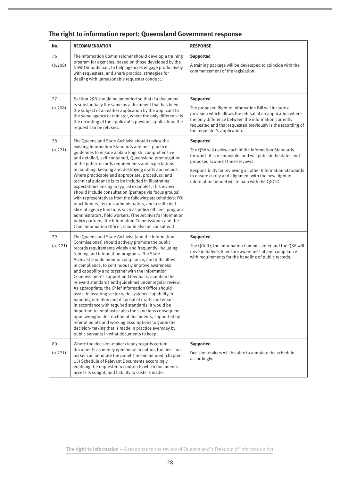| No.            | <b>RECOMMENDATION</b>                                                                                                                                                                                                                                                                                                                                                                                                                                                                                                                                                                                                                                                                                                                                                                                                                                                                                                                                                                                         | <b>RESPONSE</b>                                                                                                                                                                                                                                                                                                                                          |
|----------------|---------------------------------------------------------------------------------------------------------------------------------------------------------------------------------------------------------------------------------------------------------------------------------------------------------------------------------------------------------------------------------------------------------------------------------------------------------------------------------------------------------------------------------------------------------------------------------------------------------------------------------------------------------------------------------------------------------------------------------------------------------------------------------------------------------------------------------------------------------------------------------------------------------------------------------------------------------------------------------------------------------------|----------------------------------------------------------------------------------------------------------------------------------------------------------------------------------------------------------------------------------------------------------------------------------------------------------------------------------------------------------|
| 76<br>(p.208)  | The Information Commissioner should develop a training<br>program for agencies, based on those developed by the<br>NSW Ombudsman, to help agencies engage productively<br>with requesters, and share practical strategies for<br>dealing with unreasonable requester conduct.                                                                                                                                                                                                                                                                                                                                                                                                                                                                                                                                                                                                                                                                                                                                 | <b>Supported</b><br>A training package will be developed to coincide with the<br>commencement of the legislation.                                                                                                                                                                                                                                        |
| 77<br>(p.208)  | Section 29B should be amended so that if a document<br>is substantially the same as a document that has been<br>the subject of an earlier application by the applicant to<br>the same agency or minister, where the only difference is<br>the recording of the applicant's previous application, the<br>request can be refused.                                                                                                                                                                                                                                                                                                                                                                                                                                                                                                                                                                                                                                                                               | <b>Supported</b><br>The proposed Right to Information Bill will include a<br>provision which allows the refusal of an application where<br>the only difference between the information currently<br>requested and that requested previously is the recording of<br>the requester's application.                                                          |
| 78<br>(p.221)  | The Queensland State Archivist should review the<br>existing Information Standards and best practice<br>guidelines to ensure a plain English, comprehensive<br>and detailed, self-contained, Queensland promulgation<br>of the public records requirements and expectations<br>in handling, keeping and destroying drafts and emails.<br>Where practicable and appropriate, procedural and<br>technical guidance is to be included in illustrating<br>expectations arising in typical examples. This review<br>should include consultation (perhaps via focus groups)<br>with representatives from the following stakeholders: FOI<br>practitioners, records administrators, and a sufficient<br>slice of agency functions such as policy officers, program<br>administrators, field workers. (The Archivist's information<br>policy partners, the Information Commissioner and the<br>Chief Information Officer, should also be consulted.)                                                                  | <b>Supported</b><br>The QSA will review each of the Information Standards<br>for which it is responsible, and will publish the dates and<br>proposed scope of these reviews.<br>Responsibility for reviewing all other Information Standards<br>to ensure clarity and alignment with the new 'right to<br>information' model will remain with the QGCIO. |
| 79<br>(p. 221) | The Queensland State Archivist (and the Information<br>Commissioner) should actively promote the public<br>records requirements widely and frequently, including<br>training and information programs. The State<br>Archivist should monitor compliance, and difficulties<br>in compliance, to continuously improve awareness<br>and capability and together with the Information<br>Commissioner's support and feedback, maintain the<br>relevant standards and guidelines under regular review.<br>As appropriate, the Chief Information Office should<br>assist in assuring sector-wide systems' capability in<br>handling retention and disposal of drafts and emails<br>in accordance with required standards. It would be<br>important to emphasise also the sanctions consequent<br>upon wrongful destruction of documents, supported by<br>referral points and working assumptions to guide the<br>decision-making that is made in practice everyday by<br>public servants in what documents to keep. | <b>Supported</b><br>The QGCIO, the Information Commissioner and the QSA will<br>drive initiatives to ensure awareness of and compliance<br>with requirements for the handling of public records.                                                                                                                                                         |
| 80<br>(p.221)  | Where the decision-maker clearly regards certain<br>documents as merely ephemeral in nature, the decision-<br>maker can annotate the panel's recommended (chapter<br>13) Schedule of Relevant Documents accordingly<br>enabling the requester to confirm to which documents<br>access is sought, and liability to costs is made.                                                                                                                                                                                                                                                                                                                                                                                                                                                                                                                                                                                                                                                                              | Supported<br>Decision-makers will be able to annotate the schedule<br>accordingly.                                                                                                                                                                                                                                                                       |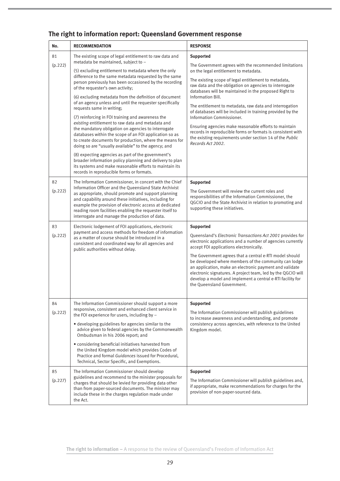| The right to information report: Queensland Government response |  |  |  |  |  |  |
|-----------------------------------------------------------------|--|--|--|--|--|--|
|-----------------------------------------------------------------|--|--|--|--|--|--|

| No.           | <b>RECOMMENDATION</b>                                                                                                                                                                                                                                                                                                                                                                                                                                                                                                                                                                                                                                                                                                                                                                                          | <b>RESPONSE</b>                                                                                                                                                                                                                                                                                                                                                                                                                                                                                                                                                                                                                                                                          |  |
|---------------|----------------------------------------------------------------------------------------------------------------------------------------------------------------------------------------------------------------------------------------------------------------------------------------------------------------------------------------------------------------------------------------------------------------------------------------------------------------------------------------------------------------------------------------------------------------------------------------------------------------------------------------------------------------------------------------------------------------------------------------------------------------------------------------------------------------|------------------------------------------------------------------------------------------------------------------------------------------------------------------------------------------------------------------------------------------------------------------------------------------------------------------------------------------------------------------------------------------------------------------------------------------------------------------------------------------------------------------------------------------------------------------------------------------------------------------------------------------------------------------------------------------|--|
| 81<br>(p.222) | The existing scope of legal entitlement to raw data and<br>metadata be maintained, subject to -<br>(5) excluding entitlement to metadata where the only<br>difference to the same metadata requested by the same<br>person previously has been occasioned by the recording<br>of the requester's own activity;<br>(6) excluding metadata from the definition of document<br>of an agency unless and until the requester specifically<br>requests same in writing;<br>(7) reinforcing in FOI training and awareness the<br>existing entitlement to raw data and metadata and<br>the mandatory obligation on agencies to interrogate<br>databases within the scope of an FOI application so as<br>to create documents for production, where the means for<br>doing so are "usually available" to the agency; and | <b>Supported</b><br>The Government agrees with the recommended limitations<br>on the legal entitlement to metadata.<br>The existing scope of legal entitlement to metadata,<br>raw data and the obligation on agencies to interrogate<br>databases will be maintained in the proposed Right to<br>Information Bill.<br>The entitlement to metadata, raw data and interrogation<br>of databases will be included in training provided by the<br><b>Information Commissioner.</b><br>Ensuring agencies make reasonable efforts to maintain<br>records in reproducible forms or formats is consistent with<br>the existing requirements under section 14 of the Public<br>Records Act 2002. |  |
|               | (8) expecting agencies as part of the government's<br>broader information policy planning and delivery to plan<br>its systems and make reasonable efforts to maintain its<br>records in reproducible forms or formats.                                                                                                                                                                                                                                                                                                                                                                                                                                                                                                                                                                                         |                                                                                                                                                                                                                                                                                                                                                                                                                                                                                                                                                                                                                                                                                          |  |
| 82<br>(p.222) | The Information Commissioner, in concert with the Chief<br>Information Officer and the Queensland State Archivist<br>as appropriate, should promote and support planning<br>and capability around these initiatives, including for<br>example the provision of electronic access at dedicated<br>reading room facilities enabling the requester itself to<br>interrogate and manage the production of data.                                                                                                                                                                                                                                                                                                                                                                                                    | <b>Supported</b><br>The Government will review the current roles and<br>responsibilities of the Information Commissioner, the<br>QGCIO and the State Archivist in relation to promoting and<br>supporting these initiatives.                                                                                                                                                                                                                                                                                                                                                                                                                                                             |  |
| 83<br>(p.222) | Electronic lodgement of FOI applications, electronic<br>payment and access methods for freedom of information<br>as a matter of course should be introduced in a<br>consistent and coordinated way for all agencies and<br>public authorities without delay.                                                                                                                                                                                                                                                                                                                                                                                                                                                                                                                                                   | <b>Supported</b><br>Queensland's Electronic Transactions Act 2001 provides for<br>electronic applications and a number of agencies currently<br>accept FOI applications electronically.<br>The Government agrees that a central e-RTI model should<br>be developed where members of the community can lodge<br>an application, make an electronic payment and validate<br>electronic signatures. A project team, led by the QGCIO will<br>develop a model and implement a central e-RTI facility for<br>the Oueensland Government.                                                                                                                                                       |  |
| 84<br>(p.222) | The Information Commissioner should support a more<br>responsive, consistent and enhanced client service in<br>the FOI experience for users, including by -<br>• developing guidelines for agencies similar to the<br>advice given to federal agencies by the Commonwealth<br>Ombudsman in his 2006 report; and<br>• considering beneficial initiatives harvested from<br>the United Kingdom model which provides Codes of<br>Practice and formal Guidances issued for Procedural.<br>Technical, Sector Specific, and Exemptions.                                                                                                                                                                                                                                                                              | <b>Supported</b><br>The Information Commissioner will publish guidelines<br>to increase awareness and understanding, and promote<br>consistency across agencies, with reference to the United<br>Kingdom model.                                                                                                                                                                                                                                                                                                                                                                                                                                                                          |  |
| 85<br>(p.227) | The Information Commissioner should develop<br>guidelines and recommend to the minister proposals for<br>charges that should be levied for providing data other<br>than from paper-sourced documents. The minister may<br>include these in the charges regulation made under<br>the Act.                                                                                                                                                                                                                                                                                                                                                                                                                                                                                                                       | <b>Supported</b><br>The Information Commissioner will publish guidelines and,<br>if appropriate, make recommendations for charges for the<br>provision of non-paper-sourced data.                                                                                                                                                                                                                                                                                                                                                                                                                                                                                                        |  |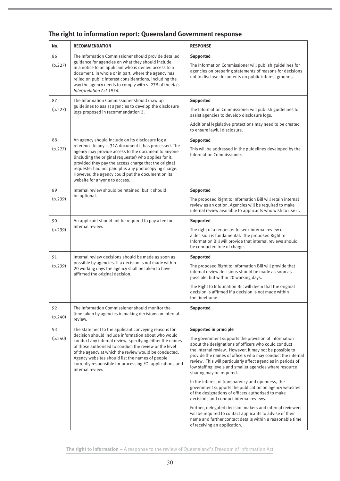| No.           | <b>RECOMMENDATION</b>                                                                                                                                                                                                                                                                                                                                                                                                              | <b>RESPONSE</b>                                                                                                                                                                                                                                                                                                                                                                                                                                                                                                                                                                                                                                                                                                                                                                                                                                                      |  |
|---------------|------------------------------------------------------------------------------------------------------------------------------------------------------------------------------------------------------------------------------------------------------------------------------------------------------------------------------------------------------------------------------------------------------------------------------------|----------------------------------------------------------------------------------------------------------------------------------------------------------------------------------------------------------------------------------------------------------------------------------------------------------------------------------------------------------------------------------------------------------------------------------------------------------------------------------------------------------------------------------------------------------------------------------------------------------------------------------------------------------------------------------------------------------------------------------------------------------------------------------------------------------------------------------------------------------------------|--|
| 86<br>(p.227) | The Information Commissioner should provide detailed<br>guidance for agencies on what they should include<br>in a notice to an applicant who is denied access to a<br>document, in whole or in part, where the agency has<br>relied on public interest considerations, including the<br>way the agency needs to comply with s. 27B of the Acts<br>Interpretation Act 1954.                                                         | <b>Supported</b><br>The Information Commissioner will publish guidelines for<br>agencies on preparing statements of reasons for decisions<br>not to disclose documents on public interest grounds.                                                                                                                                                                                                                                                                                                                                                                                                                                                                                                                                                                                                                                                                   |  |
| 87<br>(p.227) | The Information Commissioner should draw up<br>guidelines to assist agencies to develop the disclosure<br>logs proposed in recommendation 3.                                                                                                                                                                                                                                                                                       | <b>Supported</b><br>The Information Commissioner will publish guidelines to<br>assist agencies to develop disclosure logs.<br>Additional legislative protections may need to be created<br>to ensure lawful disclosure.                                                                                                                                                                                                                                                                                                                                                                                                                                                                                                                                                                                                                                              |  |
| 88<br>(p.227) | An agency should include on its disclosure log a<br>reference to any s. 31A document it has processed. The<br>agency may provide access to the document to anyone<br>(including the original requester) who applies for it,<br>provided they pay the access charge that the original<br>requester had not paid plus any photocopying charge.<br>However, the agency could put the document on its<br>website for anyone to access. | <b>Supported</b><br>This will be addressed in the guidelines developed by the<br>Information Commissioner.                                                                                                                                                                                                                                                                                                                                                                                                                                                                                                                                                                                                                                                                                                                                                           |  |
| 89<br>(p.239) | Internal review should be retained, but it should<br>be optional.                                                                                                                                                                                                                                                                                                                                                                  | <b>Supported</b><br>The proposed Right to Information Bill will retain internal<br>review as an option. Agencies will be required to make<br>internal review available to applicants who wish to use it.                                                                                                                                                                                                                                                                                                                                                                                                                                                                                                                                                                                                                                                             |  |
| 90<br>(p.239) | An applicant should not be required to pay a fee for<br>internal review.                                                                                                                                                                                                                                                                                                                                                           | <b>Supported</b><br>The right of a requester to seek internal review of<br>a decision is fundamental. The proposed Right to<br>Information Bill will provide that internal reviews should<br>be conducted free of charge.                                                                                                                                                                                                                                                                                                                                                                                                                                                                                                                                                                                                                                            |  |
| 91<br>(p.239) | Internal review decisions should be made as soon as<br>possible by agencies. If a decision is not made within<br>20 working days the agency shall be taken to have<br>affirmed the original decision.                                                                                                                                                                                                                              | <b>Supported</b><br>The proposed Right to Information Bill will provide that<br>internal review decisions should be made as soon as<br>possible, but within 20 working days.<br>The Right to Information Bill will deem that the original<br>decision is affirmed if a decision is not made within<br>the timeframe.                                                                                                                                                                                                                                                                                                                                                                                                                                                                                                                                                 |  |
| 92<br>(p.240) | The Information Commissioner should monitor the<br>time taken by agencies in making decisions on internal<br>review.                                                                                                                                                                                                                                                                                                               | <b>Supported</b>                                                                                                                                                                                                                                                                                                                                                                                                                                                                                                                                                                                                                                                                                                                                                                                                                                                     |  |
| 93<br>(p.240) | The statement to the applicant conveying reasons for<br>decision should include information about who would<br>conduct any internal review, specifying either the names<br>of those authorised to conduct the review or the level<br>of the agency at which the review would be conducted.<br>Agency websites should list the names of people<br>currently responsible for processing FOI applications and<br>internal review.     | <b>Supported in principle</b><br>The government supports the provision of information<br>about the designations of officers who could conduct<br>the internal review. However, it may not be possible to<br>provide the names of officers who may conduct the internal<br>review. This will particularly affect agencies in periods of<br>low staffing levels and smaller agencies where resource<br>sharing may be required.<br>In the interest of transparency and openness, the<br>government supports the publication on agency websites<br>of the designations of officers authorised to make<br>decisions and conduct internal reviews.<br>Further, delegated decision makers and internal reviewers<br>will be required to contact applicants to advise of their<br>name and further contact details within a reasonable time<br>of receiving an application. |  |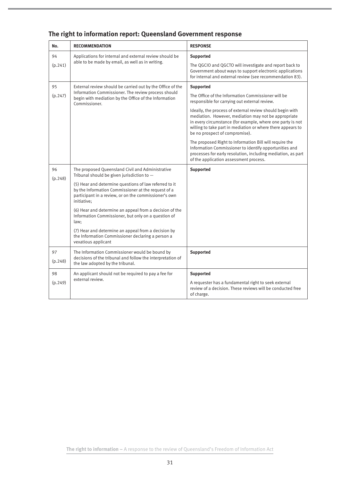| No.           | <b>RECOMMENDATION</b>                                                                                                                                                                 | <b>RESPONSE</b>                                                                                                                                                                                                                                                                  |
|---------------|---------------------------------------------------------------------------------------------------------------------------------------------------------------------------------------|----------------------------------------------------------------------------------------------------------------------------------------------------------------------------------------------------------------------------------------------------------------------------------|
| 94            | Applications for internal and external review should be                                                                                                                               | Supported                                                                                                                                                                                                                                                                        |
| (p.241)       | able to be made by email, as well as in writing.                                                                                                                                      | The QGCIO and QGCTO will investigate and report back to<br>Government about ways to support electronic applications<br>for internal and external review (see recommendation 83).                                                                                                 |
| 95            | External review should be carried out by the Office of the                                                                                                                            | <b>Supported</b>                                                                                                                                                                                                                                                                 |
| (p.247)       | Information Commissioner. The review process should<br>begin with mediation by the Office of the Information<br>Commissioner.                                                         | The Office of the Information Commissioner will be<br>responsible for carrying out external review.                                                                                                                                                                              |
|               |                                                                                                                                                                                       | Ideally, the process of external review should begin with<br>mediation. However, mediation may not be appropriate<br>in every circumstance (for example, where one party is not<br>willing to take part in mediation or where there appears to<br>be no prospect of compromise). |
|               |                                                                                                                                                                                       | The proposed Right to Information Bill will require the<br>Information Commissioner to identify opportunities and<br>processes for early resolution, including mediation, as part<br>of the application assessment process.                                                      |
| 96<br>(p.248) | The proposed Queensland Civil and Administrative<br>Tribunal should be given jurisdiction to -                                                                                        | <b>Supported</b>                                                                                                                                                                                                                                                                 |
|               | (5) Hear and determine questions of law referred to it<br>by the Information Commissioner at the request of a<br>participant in a review, or on the commissioner's own<br>initiative: |                                                                                                                                                                                                                                                                                  |
|               | (6) Hear and determine an appeal from a decision of the<br>Information Commissioner, but only on a question of<br>law:                                                                |                                                                                                                                                                                                                                                                                  |
|               | (7) Hear and determine an appeal from a decision by<br>the Information Commissioner declaring a person a<br>vexatious applicant                                                       |                                                                                                                                                                                                                                                                                  |
| 97            | The Information Commissioner would be bound by                                                                                                                                        | <b>Supported</b>                                                                                                                                                                                                                                                                 |
| (p.248)       | decisions of the tribunal and follow the interpretation of<br>the law adopted by the tribunal.                                                                                        |                                                                                                                                                                                                                                                                                  |
| 98            | An applicant should not be required to pay a fee for                                                                                                                                  | <b>Supported</b>                                                                                                                                                                                                                                                                 |
| (p.249)       | external review.                                                                                                                                                                      | A requester has a fundamental right to seek external<br>review of a decision. These reviews will be conducted free<br>of charge.                                                                                                                                                 |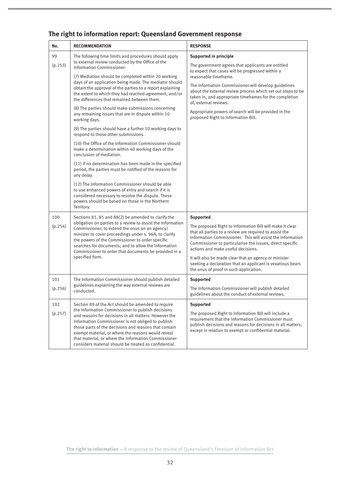| No.     | <b>RECOMMENDATION</b>                                                                                                                                                                                                                                                                                                                                                                            | <b>RESPONSE</b>                                                                                                                                                                                                                                                                       |
|---------|--------------------------------------------------------------------------------------------------------------------------------------------------------------------------------------------------------------------------------------------------------------------------------------------------------------------------------------------------------------------------------------------------|---------------------------------------------------------------------------------------------------------------------------------------------------------------------------------------------------------------------------------------------------------------------------------------|
| 99      | The following time limits and procedures should apply                                                                                                                                                                                                                                                                                                                                            | <b>Supported in principle</b>                                                                                                                                                                                                                                                         |
| (p.253) | to external review conducted by the Office of the<br>Information Commissioner:                                                                                                                                                                                                                                                                                                                   | The government agrees that applicants are entitled<br>to expect that cases will be progressed within a                                                                                                                                                                                |
|         | (7) Mediation should be completed within 20 working<br>days of an application being made. The mediator should                                                                                                                                                                                                                                                                                    | reasonable timeframe.                                                                                                                                                                                                                                                                 |
|         | obtain the approval of the parties to a report explaining<br>the extent to which they had reached agreement, and/or<br>the differences that remained between them.                                                                                                                                                                                                                               | The Information Commissioner will develop guidelines<br>about the external review process which set out steps to be<br>taken in, and appropriate timeframes for the completion<br>of, external reviews.                                                                               |
|         | (8) The parties should make submissions concerning<br>any remaining issues that are in dispute within 10<br>working days.                                                                                                                                                                                                                                                                        | Appropriate powers of search will be provided in the<br>proposed Right to Information Bill.                                                                                                                                                                                           |
|         | (9) The parties should have a further 10 working days to<br>respond to those other submissions.                                                                                                                                                                                                                                                                                                  |                                                                                                                                                                                                                                                                                       |
|         | (10) The Office of the Information Commissioner should<br>make a determination within 40 working days of the<br>conclusion of mediation.                                                                                                                                                                                                                                                         |                                                                                                                                                                                                                                                                                       |
|         | (11) If no determination has been made in the specified<br>period, the parties must be notified of the reasons for<br>any delay.                                                                                                                                                                                                                                                                 |                                                                                                                                                                                                                                                                                       |
|         | (12) The Information Commissioner should be able<br>to use enhanced powers of entry and search if it is<br>considered necessary to resolve the dispute. These<br>powers should be based on those in the Northern<br>Territory.                                                                                                                                                                   |                                                                                                                                                                                                                                                                                       |
| 100     | Sections 81, 85 and 88(2) be amended to clarify the                                                                                                                                                                                                                                                                                                                                              | <b>Supported</b>                                                                                                                                                                                                                                                                      |
| (p.254) | obligation on parties to a review to assist the Information<br>Commissioner; to extend the onus on an agency/<br>minister to cover proceedings under s. 96A; to clarify<br>the powers of the Commissioner to order specific<br>searches for documents; and to allow the Information<br>Commissioner to order that documents be provided in a<br>specified form.                                  | The proposed Right to Information Bill will make it clear<br>that all parties to a review are required to assist the<br>Information Commissioner. This will assist the Information<br>Commissioner to particularise the issues, direct specific<br>actions and make useful decisions. |
|         |                                                                                                                                                                                                                                                                                                                                                                                                  | It will also be made clear that an agency or minister<br>seeking a declaration that an applicant is vexatious bears<br>the onus of proof in such application.                                                                                                                         |
| 101     | The Information Commissioner should publish detailed<br>guidelines explaining the way external reviews are                                                                                                                                                                                                                                                                                       | <b>Supported</b>                                                                                                                                                                                                                                                                      |
| (p.256) | conducted.                                                                                                                                                                                                                                                                                                                                                                                       | The Information Commissioner will publish detailed<br>guidelines about the conduct of external reviews.                                                                                                                                                                               |
| 102     | Section 89 of the Act should be amended to require                                                                                                                                                                                                                                                                                                                                               | <b>Supported</b>                                                                                                                                                                                                                                                                      |
| (p.257) | the Information Commissioner to publish decisions<br>and reasons for decisions in all matters. However the<br>Information Commissioner is not obliged to publish<br>those parts of the decisions and reasons that contain<br>exempt material, or where the reasons would reveal<br>that material, or where the Information Commissioner<br>considers material should be treated as confidential. | The proposed Right to Information Bill will include a<br>requirement that the Information Commissioner must<br>publish decisions and reasons for decisions in all matters,<br>except in relation to exempt or confidential material.                                                  |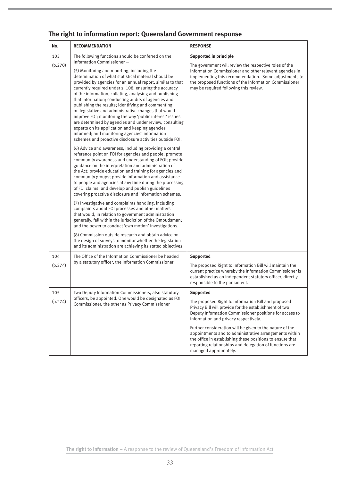| No.            | <b>RECOMMENDATION</b>                                                                                                                                                                                                                                                                                                                                                                                                                                                                                                                                                                                                                                                                                                                                                                                                                                                                                                                                                                                                                                                                                                                                                                                                                                                                                                                                                                                                                                                                                                                                                                                                                                                                                                                                                                                                                                     | <b>RESPONSE</b>                                                                                                                                                                                                                                                                                                                                                                                                                                                                                               |
|----------------|-----------------------------------------------------------------------------------------------------------------------------------------------------------------------------------------------------------------------------------------------------------------------------------------------------------------------------------------------------------------------------------------------------------------------------------------------------------------------------------------------------------------------------------------------------------------------------------------------------------------------------------------------------------------------------------------------------------------------------------------------------------------------------------------------------------------------------------------------------------------------------------------------------------------------------------------------------------------------------------------------------------------------------------------------------------------------------------------------------------------------------------------------------------------------------------------------------------------------------------------------------------------------------------------------------------------------------------------------------------------------------------------------------------------------------------------------------------------------------------------------------------------------------------------------------------------------------------------------------------------------------------------------------------------------------------------------------------------------------------------------------------------------------------------------------------------------------------------------------------|---------------------------------------------------------------------------------------------------------------------------------------------------------------------------------------------------------------------------------------------------------------------------------------------------------------------------------------------------------------------------------------------------------------------------------------------------------------------------------------------------------------|
| 103<br>(p.270) | The following functions should be conferred on the<br>Information Commissioner-<br>(5) Monitoring and reporting, including the<br>determination of what statistical material should be<br>provided by agencies for an annual report, similar to that<br>currently required under s. 108, ensuring the accuracy<br>of the information, collating, analysing and publishing<br>that information; conducting audits of agencies and<br>publishing the results; identifying and commenting<br>on legislative and administrative changes that would<br>improve FOI; monitoring the way 'public interest' issues<br>are determined by agencies and under review, consulting<br>experts on its application and keeping agencies<br>informed; and monitoring agencies' information<br>schemes and proactive disclosure activities outside FOI.<br>(6) Advice and awareness, including providing a central<br>reference point on FOI for agencies and people; promote<br>community awareness and understanding of FOI; provide<br>guidance on the interpretation and administration of<br>the Act; provide education and training for agencies and<br>community groups; provide information and assistance<br>to people and agencies at any time during the processing<br>of FOI claims; and develop and publish guidelines<br>covering proactive disclosure and information schemes.<br>(7) Investigative and complaints handling, including<br>complaints about FOI processes and other matters<br>that would, in relation to government administration<br>generally, fall within the jurisdiction of the Ombudsman;<br>and the power to conduct 'own motion' investigations.<br>(8) Commission outside research and obtain advice on<br>the design of surveys to monitor whether the legislation<br>and its administration are achieving its stated objectives. | <b>Supported in principle</b><br>The government will review the respective roles of the<br>Information Commissioner and other relevant agencies in<br>implementing this recommendation. Some adjustments to<br>the proposed functions of the Information Commissioner<br>may be required following this review.                                                                                                                                                                                               |
| 104<br>(p.274) | The Office of the Information Commissioner be headed<br>by a statutory officer, the Information Commissioner.                                                                                                                                                                                                                                                                                                                                                                                                                                                                                                                                                                                                                                                                                                                                                                                                                                                                                                                                                                                                                                                                                                                                                                                                                                                                                                                                                                                                                                                                                                                                                                                                                                                                                                                                             | <b>Supported</b><br>The proposed Right to Information Bill will maintain the<br>current practice whereby the Information Commissioner is<br>established as an independent statutory officer, directly<br>responsible to the parliament.                                                                                                                                                                                                                                                                       |
| 105<br>(p.274) | Two Deputy Information Commissioners, also statutory<br>officers, be appointed. One would be designated as FOI<br>Commissioner, the other as Privacy Commissioner                                                                                                                                                                                                                                                                                                                                                                                                                                                                                                                                                                                                                                                                                                                                                                                                                                                                                                                                                                                                                                                                                                                                                                                                                                                                                                                                                                                                                                                                                                                                                                                                                                                                                         | <b>Supported</b><br>The proposed Right to Information Bill and proposed<br>Privacy Bill will provide for the establishment of two<br>Deputy Information Commissioner positions for access to<br>information and privacy respectively.<br>Further consideration will be given to the nature of the<br>appointments and to administrative arrangements within<br>the office in establishing these positions to ensure that<br>reporting relationships and delegation of functions are<br>managed appropriately. |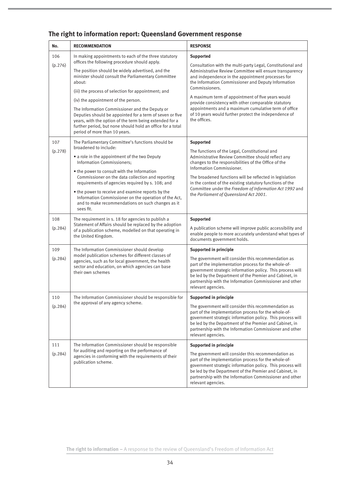| No.            | <b>RECOMMENDATION</b>                                                                                                                                                                                                                                                                                                                                                                                                                                                                                                                                                                              | <b>RESPONSE</b>                                                                                                                                                                                                                                                                                                                                                                                                                                                                                                        |
|----------------|----------------------------------------------------------------------------------------------------------------------------------------------------------------------------------------------------------------------------------------------------------------------------------------------------------------------------------------------------------------------------------------------------------------------------------------------------------------------------------------------------------------------------------------------------------------------------------------------------|------------------------------------------------------------------------------------------------------------------------------------------------------------------------------------------------------------------------------------------------------------------------------------------------------------------------------------------------------------------------------------------------------------------------------------------------------------------------------------------------------------------------|
| 106<br>(p.276) | In making appointments to each of the three statutory<br>offices the following procedure should apply.<br>The position should be widely advertised, and the<br>minister should consult the Parliamentary Committee<br>about:<br>(iii) the process of selection for appointment; and<br>(iv) the appointment of the person.<br>The Information Commissioner and the Deputy or<br>Deputies should be appointed for a term of seven or five<br>years, with the option of the term being extended for a<br>further period, but none should hold an office for a total<br>period of more than 10 years. | <b>Supported</b><br>Consultation with the multi-party Legal, Constitutional and<br>Administrative Review Committee will ensure transparency<br>and independence in the appointment processes for<br>the Information Commissioner and Deputy Information<br>Commissioners.<br>A maximum term of appointment of five years would<br>provide consistency with other comparable statutory<br>appointments and a maximum cumulative term of office<br>of 10 years would further protect the independence of<br>the offices. |
| 107<br>(p.278) | The Parliamentary Committee's functions should be<br>broadened to include:<br>• a role in the appointment of the two Deputy<br>Information Commissioners;<br>• the power to consult with the Information<br>Commissioner on the data collection and reporting<br>requirements of agencies required by s. 108; and<br>• the power to receive and examine reports by the<br>Information Commissioner on the operation of the Act,<br>and to make recommendations on such changes as it<br>sees fit.                                                                                                  | Supported<br>The functions of the Legal, Constitutional and<br>Administrative Review Committee should reflect any<br>changes to the responsibilities of the Office of the<br>Information Commissioner.<br>The broadened functions will be reflected in legislation<br>in the context of the existing statutory functions of the<br>Committee under the Freedom of Information Act 1992 and<br>the Parliament of Queensland Act 2001.                                                                                   |
| 108<br>(p.284) | The requirement in s. 18 for agencies to publish a<br>Statement of Affairs should be replaced by the adoption<br>of a publication scheme, modelled on that operating in<br>the United Kingdom.                                                                                                                                                                                                                                                                                                                                                                                                     | <b>Supported</b><br>A publication scheme will improve public accessibility and<br>enable people to more accurately understand what types of<br>documents government holds.                                                                                                                                                                                                                                                                                                                                             |
| 109<br>(p.284) | The Information Commissioner should develop<br>model publication schemes for different classes of<br>agencies, such as for local government, the health<br>sector and education, on which agencies can base<br>their own schemes                                                                                                                                                                                                                                                                                                                                                                   | Supported in principle<br>The government will consider this recommendation as<br>part of the implementation process for the whole-of-<br>government strategic information policy. This process will<br>be led by the Department of the Premier and Cabinet, in<br>partnership with the Information Commissioner and other<br>relevant agencies.                                                                                                                                                                        |
| 110<br>(p.284) | The Information Commissioner should be responsible for<br>the approval of any agency scheme.                                                                                                                                                                                                                                                                                                                                                                                                                                                                                                       | Supported in principle<br>The government will consider this recommendation as<br>part of the implementation process for the whole-of-<br>government strategic information policy. This process will<br>be led by the Department of the Premier and Cabinet, in<br>partnership with the Information Commissioner and other<br>relevant agencies.                                                                                                                                                                        |
| 111<br>(p.284) | The Information Commissioner should be responsible<br>for auditing and reporting on the performance of<br>agencies in conforming with the requirements of their<br>publication scheme.                                                                                                                                                                                                                                                                                                                                                                                                             | Supported in principle<br>The government will consider this recommendation as<br>part of the implementation process for the whole-of-<br>government strategic information policy. This process will<br>be led by the Department of the Premier and Cabinet, in<br>partnership with the Information Commissioner and other<br>relevant agencies.                                                                                                                                                                        |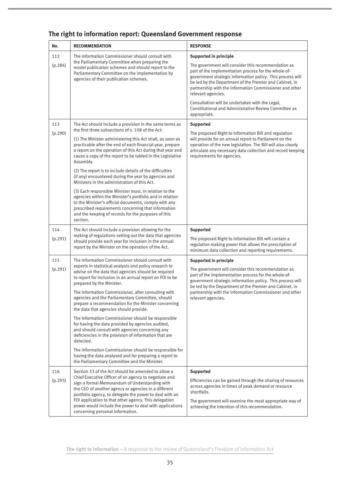| No.     | <b>RECOMMENDATION</b>                                                                                                                                                                                                                                                                                 | <b>RESPONSE</b>                                                                                                                                                                                                                                                                                                       |
|---------|-------------------------------------------------------------------------------------------------------------------------------------------------------------------------------------------------------------------------------------------------------------------------------------------------------|-----------------------------------------------------------------------------------------------------------------------------------------------------------------------------------------------------------------------------------------------------------------------------------------------------------------------|
| 112     | The Information Commissioner should consult with                                                                                                                                                                                                                                                      | <b>Supported in principle</b>                                                                                                                                                                                                                                                                                         |
| (p.284) | the Parliamentary Committee when preparing the<br>model publication schemes and should report to the<br>Parliamentary Committee on the implementation by<br>agencies of their publication schemes.                                                                                                    | The government will consider this recommendation as<br>part of the implementation process for the whole-of-<br>government strategic information policy. This process will<br>be led by the Department of the Premier and Cabinet, in<br>partnership with the Information Commissioner and other<br>relevant agencies. |
|         |                                                                                                                                                                                                                                                                                                       | Consultation will be undertaken with the Legal,<br>Constitutional and Administrative Review Committee as<br>appropriate.                                                                                                                                                                                              |
| 113     | The Act should include a provision in the same terms as<br>the first three subsections of s. 108 of the Act:                                                                                                                                                                                          | <b>Supported</b>                                                                                                                                                                                                                                                                                                      |
| (p.290) | (1) The Minister administering this Act shall, as soon as<br>practicable after the end of each financial year, prepare<br>a report on the operation of this Act during that year and<br>cause a copy of the report to be tabled in the Legislative<br>Assembly.                                       | The proposed Right to Information Bill and regulation<br>will provide for an annual report to Parliament on the<br>operation of the new legislation. The Bill will also clearly<br>articulate any necessary data collection and record keeping<br>requirements for agencies.                                          |
|         | (2) The report is to include details of the difficulties<br>(if any) encountered during the year by agencies and<br>Ministers in the administration of this Act.                                                                                                                                      |                                                                                                                                                                                                                                                                                                                       |
|         | (3) Each responsible Minister must, in relation to the<br>agencies within the Minister's portfolio and in relation<br>to the Minister's official documents, comply with any<br>prescribed requirements concerning that information<br>and the keeping of records for the purposes of this<br>section. |                                                                                                                                                                                                                                                                                                                       |
| 114     | The Act should include a provision allowing for the                                                                                                                                                                                                                                                   | <b>Supported</b>                                                                                                                                                                                                                                                                                                      |
| (p.291) | making of regulations setting out the data that agencies<br>should provide each year for inclusion in the annual<br>report by the Minister on the operation of the Act.                                                                                                                               | The proposed Right to Information Bill will contain a<br>regulation making power that allows the prescription of<br>minimum data collection and reporting requirements.                                                                                                                                               |
| 115     | The Information Commissioner should consult with                                                                                                                                                                                                                                                      | Supported in principle                                                                                                                                                                                                                                                                                                |
| (p.291) | experts in statistical analysis and policy research to<br>advise on the data that agencies should be required<br>to report for inclusion in an annual report on FOI to be<br>prepared by the Minister.                                                                                                | The government will consider this recommendation as<br>part of the implementation process for the whole-of-<br>government strategic information policy. This process will<br>be led by the Department of the Premier and Cabinet, in                                                                                  |
|         | The Information Commissioner, after consulting with<br>agencies and the Parliamentary Committee, should<br>prepare a recommendation for the Minister concerning<br>the data that agencies should provide.                                                                                             | partnership with the Information Commissioner and other<br>relevant agencies.                                                                                                                                                                                                                                         |
|         | The Information Commissioner should be responsible<br>for having the data provided by agencies audited,<br>and should consult with agencies concerning any<br>deficiencies in the provision of information that are<br>detected.                                                                      |                                                                                                                                                                                                                                                                                                                       |
|         | The Information Commissioner should be responsible for<br>having the data analysed and for preparing a report to<br>the Parliamentary Committee and the Minister.                                                                                                                                     |                                                                                                                                                                                                                                                                                                                       |
| 116     | Section 33 of the Act should be amended to allow a                                                                                                                                                                                                                                                    | <b>Supported</b>                                                                                                                                                                                                                                                                                                      |
| (p.293) | Chief Executive Officer of an agency to negotiate and<br>sign a formal Memorandum of Understanding with<br>the CEO of another agency or agencies in a different<br>portfolio agency, to delegate the power to deal with an                                                                            | Efficiencies can be gained through the sharing of resources<br>across agencies in times of peak demand or resource<br>shortfalls.                                                                                                                                                                                     |
|         | FOI application to that other agency. This delegation<br>power would include the power to deal with applications<br>concerning personal information.                                                                                                                                                  | The government will examine the most appropriate way of<br>achieving the intention of this recommendation.                                                                                                                                                                                                            |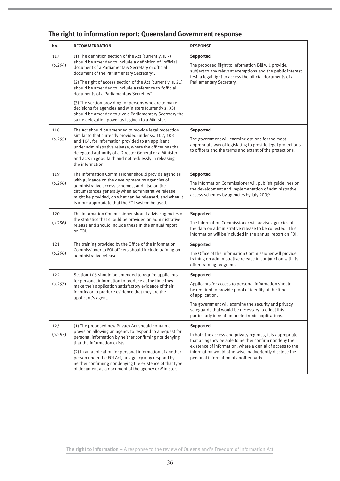| No.            | <b>RECOMMENDATION</b>                                                                                                                                                                                                                                                                                                                                                                     | <b>RESPONSE</b>                                                                                                                                                                                                                 |
|----------------|-------------------------------------------------------------------------------------------------------------------------------------------------------------------------------------------------------------------------------------------------------------------------------------------------------------------------------------------------------------------------------------------|---------------------------------------------------------------------------------------------------------------------------------------------------------------------------------------------------------------------------------|
| 117<br>(p.294) | (1) The definition section of the Act (currently, s. 7)<br>should be amended to include a definition of "official<br>document of a Parliamentary Secretary or official<br>document of the Parliamentary Secretary".<br>(2) The right of access section of the Act (currently, s. 21)<br>should be amended to include a reference to "official<br>documents of a Parliamentary Secretary". | <b>Supported</b><br>The proposed Right to Information Bill will provide,<br>subject to any relevant exemptions and the public interest<br>test, a legal right to access the official documents of a<br>Parliamentary Secretary. |
|                | (3) The section providing for persons who are to make<br>decisions for agencies and Ministers (currently s. 33)<br>should be amended to give a Parliamentary Secretary the<br>same delegation power as is given to a Minister.                                                                                                                                                            |                                                                                                                                                                                                                                 |
| 118<br>(p.295) | The Act should be amended to provide legal protection<br>similar to that currently provided under ss. 102, 103<br>and 104, for information provided to an applicant<br>under administrative release, where the officer has the<br>delegated authority of a Director-General or a Minister<br>and acts in good faith and not recklessly in releasing<br>the information.                   | <b>Supported</b><br>The government will examine options for the most<br>appropriate way of legislating to provide legal protections<br>to officers and the terms and extent of the protections.                                 |
| 119<br>(p.296) | The Information Commissioner should provide agencies<br>with guidance on the development by agencies of<br>administrative access schemes, and also on the<br>circumstances generally when administrative release<br>might be provided, on what can be released, and when it<br>is more appropriate that the FOI system be used.                                                           | <b>Supported</b><br>The Information Commissioner will publish guidelines on<br>the development and implementation of administrative<br>access schemes by agencies by July 2009.                                                 |
| 120            | The Information Commissioner should advise agencies of                                                                                                                                                                                                                                                                                                                                    | <b>Supported</b>                                                                                                                                                                                                                |
| (p.296)        | the statistics that should be provided on administrative<br>release and should include these in the annual report<br>on FOI.                                                                                                                                                                                                                                                              | The Information Commissioner will advise agencies of<br>the data on administrative release to be collected. This<br>information will be included in the annual report on FOI.                                                   |
| 121            | The training provided by the Office of the Information<br>Commissioner to FOI officers should include training on<br>administrative release.                                                                                                                                                                                                                                              | <b>Supported</b>                                                                                                                                                                                                                |
| (p.296)        |                                                                                                                                                                                                                                                                                                                                                                                           | The Office of the Information Commissioner will provide<br>training on administrative release in conjunction with its<br>other training programs.                                                                               |
| 122            | Section 105 should be amended to require applicants                                                                                                                                                                                                                                                                                                                                       | <b>Supported</b>                                                                                                                                                                                                                |
| (p.297)        | for personal information to produce at the time they<br>make their application satisfactory evidence of their<br>identity or to produce evidence that they are the<br>applicant's agent.                                                                                                                                                                                                  | Applicants for access to personal information should<br>be required to provide proof of identity at the time<br>of application.                                                                                                 |
|                |                                                                                                                                                                                                                                                                                                                                                                                           | The government will examine the security and privacy<br>safeguards that would be necessary to effect this,<br>particularly in relation to electronic applications.                                                              |
| 123            | (1) The proposed new Privacy Act should contain a                                                                                                                                                                                                                                                                                                                                         | <b>Supported</b>                                                                                                                                                                                                                |
| (p.297)        | provision allowing an agency to respond to a request for<br>personal information by neither confirming nor denying<br>that the information exists.                                                                                                                                                                                                                                        | In both the access and privacy regimes, it is appropriate<br>that an agency be able to neither confirm nor deny the<br>existence of information, where a denial of access to the                                                |
|                | (2) In an application for personal information of another<br>person under the FOI Act, an agency may respond by<br>neither confirming nor denying the existence of that type<br>of document as a document of the agency or Minister.                                                                                                                                                      | information would otherwise inadvertently disclose the<br>personal information of another party.                                                                                                                                |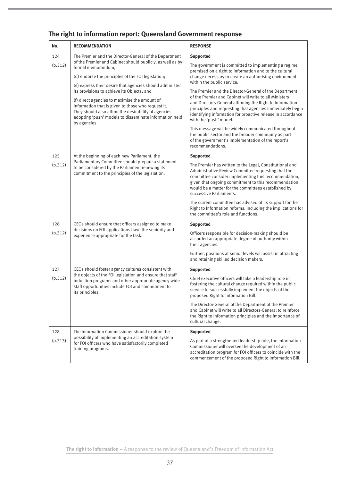| No.     | <b>RECOMMENDATION</b>                                                                                                                                                                                                                 | <b>RESPONSE</b>                                                                                                                                                                                                                                                                                                   |
|---------|---------------------------------------------------------------------------------------------------------------------------------------------------------------------------------------------------------------------------------------|-------------------------------------------------------------------------------------------------------------------------------------------------------------------------------------------------------------------------------------------------------------------------------------------------------------------|
| 124     | <b>Supported</b><br>The Premier and the Director-General of the Department<br>of the Premier and Cabinet should publicly, as well as by<br>formal memorandum,                                                                         |                                                                                                                                                                                                                                                                                                                   |
| (p.312) |                                                                                                                                                                                                                                       | The government is committed to implementing a regime<br>premised on a right to information and to the cultural                                                                                                                                                                                                    |
|         | (d) endorse the principles of the FOI legislation;                                                                                                                                                                                    | change necessary to create an authorising environment<br>within the public service.                                                                                                                                                                                                                               |
|         | (e) express their desire that agencies should administer<br>its provisions to achieve its Objects; and                                                                                                                                | The Premier and the Director-General of the Department                                                                                                                                                                                                                                                            |
|         | (f) direct agencies to maximise the amount of<br>information that is given to those who request it.<br>They should also affirm the desirability of agencies<br>adopting 'push' models to disseminate information held<br>by agencies. | of the Premier and Cabinet will write to all Ministers<br>and Directors-General affirming the Right to Information<br>principles and requesting that agencies immediately begin<br>identifying information for proactive release in accordance<br>with the 'push' model.                                          |
|         |                                                                                                                                                                                                                                       | This message will be widely communicated throughout<br>the public sector and the broader community as part<br>of the government's implementation of the report's<br>recommendations.                                                                                                                              |
| 125     | At the beginning of each new Parliament, the                                                                                                                                                                                          | Supported                                                                                                                                                                                                                                                                                                         |
| (p.312) | Parliamentary Committee should prepare a statement<br>to be considered by the Parliament renewing its<br>commitment to the principles of the legislation.                                                                             | The Premier has written to the Legal, Constitutional and<br>Administrative Review Committee requesting that the<br>committee consider implementing this recommendation,<br>given that ongoing commitment to this recommendation<br>would be a matter for the committees established by<br>successive Parliaments. |
|         |                                                                                                                                                                                                                                       | The current committee has advised of its support for the<br>Right to Information reforms, including the implications for<br>the committee's role and functions.                                                                                                                                                   |
| 126     | CEOs should ensure that officers assigned to make                                                                                                                                                                                     | <b>Supported</b>                                                                                                                                                                                                                                                                                                  |
| (p.312) | decisions on FOI applications have the seniority and<br>experience appropriate for the task.                                                                                                                                          | Officers responsible for decision-making should be<br>accorded an appropriate degree of authority within<br>their agencies.                                                                                                                                                                                       |
|         |                                                                                                                                                                                                                                       | Further, positions at senior levels will assist in attracting<br>and retaining skilled decision makers.                                                                                                                                                                                                           |
| 127     | CEOs should foster agency cultures consistent with                                                                                                                                                                                    | <b>Supported</b>                                                                                                                                                                                                                                                                                                  |
| (p.312) | the objects of the FOI legislation and ensure that staff<br>induction programs and other appropriate agency-wide<br>staff opportunities include FOI and commitment to<br>its principles.                                              | Chief executive officers will take a leadership role in<br>fostering the cultural change required within the public<br>service to successfully implement the objects of the<br>proposed Right to Information Bill.                                                                                                |
|         |                                                                                                                                                                                                                                       | The Director-General of the Department of the Premier<br>and Cabinet will write to all Directors-General to reinforce<br>the Right to Information principles and the importance of<br>cultural change.                                                                                                            |
| 128     | The Information Commissioner should explore the                                                                                                                                                                                       | <b>Supported</b>                                                                                                                                                                                                                                                                                                  |
| (p.313) | possibility of implementing an accreditation system<br>for FOI officers who have satisfactorily completed<br>training programs.                                                                                                       | As part of a strengthened leadership role, the Information<br>Commissioner will oversee the development of an<br>accreditation program for FOI officers to coincide with the<br>commencement of the proposed Right to Information Bill.                                                                           |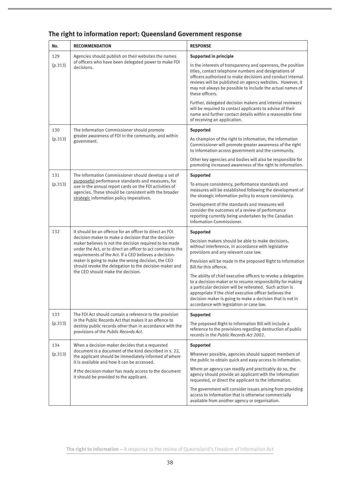| No.     | <b>RECOMMENDATION</b>                                                                                                                                                                                                                                                                                                                                                                          | <b>RESPONSE</b>                                                                                                                                                                                                                                                                                                                                              |
|---------|------------------------------------------------------------------------------------------------------------------------------------------------------------------------------------------------------------------------------------------------------------------------------------------------------------------------------------------------------------------------------------------------|--------------------------------------------------------------------------------------------------------------------------------------------------------------------------------------------------------------------------------------------------------------------------------------------------------------------------------------------------------------|
| 129     | Agencies should publish on their websites the names<br>of officers who have been delegated power to make FOI<br>decisions.                                                                                                                                                                                                                                                                     | <b>Supported in principle</b>                                                                                                                                                                                                                                                                                                                                |
| (p.313) |                                                                                                                                                                                                                                                                                                                                                                                                | In the interests of transparency and openness, the position<br>titles, contact telephone numbers and designations of<br>officers authorised to make decisions and conduct internal<br>reviews will be published on agency websites. However, it<br>may not always be possible to include the actual names of<br>these officers.                              |
|         |                                                                                                                                                                                                                                                                                                                                                                                                | Further, delegated decision makers and internal reviewers<br>will be required to contact applicants to advise of their<br>name and further contact details within a reasonable time<br>of receiving an application.                                                                                                                                          |
| 130     | The Information Commissioner should promote                                                                                                                                                                                                                                                                                                                                                    | <b>Supported</b>                                                                                                                                                                                                                                                                                                                                             |
| (p.313) | greater awareness of FOI in the community, and within<br>government.                                                                                                                                                                                                                                                                                                                           | As champion of the right to information, the Information<br>Commissioner will promote greater awareness of the right<br>to information across government and the community.                                                                                                                                                                                  |
|         |                                                                                                                                                                                                                                                                                                                                                                                                | Other key agencies and bodies will also be responsible for<br>promoting increased awareness of the right to information.                                                                                                                                                                                                                                     |
| 131     | The Information Commissioner should develop a set of                                                                                                                                                                                                                                                                                                                                           | <b>Supported</b>                                                                                                                                                                                                                                                                                                                                             |
| (p.313) | purposeful performance standards and measures, for<br>use in the annual report cards on the FOI activities of<br>agencies. These should be consistent with the broader<br>strategic information policy imperatives.                                                                                                                                                                            | To ensure consistency, performance standards and<br>measures will be established following the development of<br>the strategic information policy to ensure consistency.                                                                                                                                                                                     |
|         |                                                                                                                                                                                                                                                                                                                                                                                                | Development of the standards and measures will<br>consider the outcomes of a review of performance<br>reporting currently being undertaken by the Canadian<br>Information Commissioner.                                                                                                                                                                      |
| 132     | It should be an offence for an officer to direct an FOI                                                                                                                                                                                                                                                                                                                                        | <b>Supported</b>                                                                                                                                                                                                                                                                                                                                             |
|         | decision-maker to make a decision that the decision-<br>maker believes is not the decision required to be made<br>under the Act, or to direct an officer to act contrary to the<br>requirements of the Act. If a CEO believes a decision-<br>maker is going to make the wrong decision, the CEO<br>should revoke the delegation to the decision-maker and<br>the CEO should make the decision. | Decision makers should be able to make decisions,<br>without interference, in accordance with legislative<br>provisions and any relevant case law.                                                                                                                                                                                                           |
|         |                                                                                                                                                                                                                                                                                                                                                                                                | Provision will be made in the proposed Right to Information<br>Bill for this offence.                                                                                                                                                                                                                                                                        |
|         |                                                                                                                                                                                                                                                                                                                                                                                                | The ability of chief executive officers to revoke a delegation<br>to a decision-maker or to resume responsibility for making<br>a particular decision will be reiterated. Such action is<br>appropriate if the chief executive officer believes the<br>decision maker is going to make a decision that is not in<br>accordance with legislation or case law. |
| 133     | The FOI Act should contain a reference to the provision                                                                                                                                                                                                                                                                                                                                        | <b>Supported</b>                                                                                                                                                                                                                                                                                                                                             |
| (p.313) | in the Public Records Act that makes it an offence to<br>destroy public records other than in accordance with the<br>provisions of the Public Records Act.                                                                                                                                                                                                                                     | The proposed Right to Information Bill will include a<br>reference to the provisions regarding destruction of public<br>records in the Public Records Act 2002.                                                                                                                                                                                              |
| 134     | When a decision-maker decides that a requested                                                                                                                                                                                                                                                                                                                                                 | <b>Supported</b>                                                                                                                                                                                                                                                                                                                                             |
| (p.313) | document is a document of the kind described in s. 22,<br>the applicant should be immediately informed of where<br>it is available and how it can be accessed.                                                                                                                                                                                                                                 | Wherever possible, agencies should support members of<br>the public to obtain quick and easy access to information.                                                                                                                                                                                                                                          |
|         | If the decision-maker has ready access to the document<br>it should be provided to the applicant.                                                                                                                                                                                                                                                                                              | Where an agency can readily and practicably do so, the<br>agency should provide an applicant with the information<br>requested, or direct the applicant to the information.                                                                                                                                                                                  |
|         |                                                                                                                                                                                                                                                                                                                                                                                                | The government will consider issues arising from providing<br>access to information that is otherwise commercially<br>available from another agency or organisation.                                                                                                                                                                                         |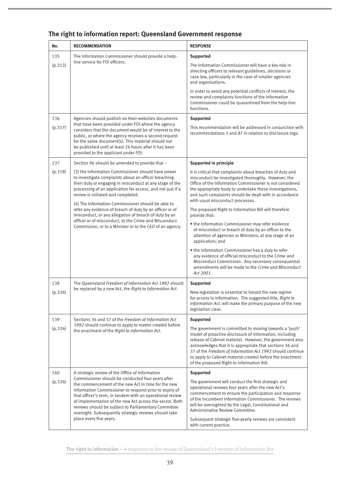| No.     | <b>RECOMMENDATION</b>                                                                                                                                                                                                                                                                                                                                                                        | <b>RESPONSE</b>                                                                                                                                                                                                                                                                                                                                                                                                    |
|---------|----------------------------------------------------------------------------------------------------------------------------------------------------------------------------------------------------------------------------------------------------------------------------------------------------------------------------------------------------------------------------------------------|--------------------------------------------------------------------------------------------------------------------------------------------------------------------------------------------------------------------------------------------------------------------------------------------------------------------------------------------------------------------------------------------------------------------|
| 135     | The Information Commissioner should provide a help-<br>line service for FOI officers.                                                                                                                                                                                                                                                                                                        | <b>Supported</b>                                                                                                                                                                                                                                                                                                                                                                                                   |
| (p.313) |                                                                                                                                                                                                                                                                                                                                                                                              | The Information Commissioner will have a key role in<br>directing officers to relevant guidelines, decisions or<br>case law, particularly in the case of smaller agencies<br>and organisations.                                                                                                                                                                                                                    |
|         |                                                                                                                                                                                                                                                                                                                                                                                              | In order to avoid any potential conflicts of interest, the<br>review and complaints functions of the Information<br>Commissioner could be quarantined from the help-line<br>functions.                                                                                                                                                                                                                             |
| 136     | Agencies should publish on their websites documents                                                                                                                                                                                                                                                                                                                                          | <b>Supported</b>                                                                                                                                                                                                                                                                                                                                                                                                   |
| (p.317) | that have been provided under FOI where the agency<br>considers that the document would be of interest to the<br>public, or where the agency receives a second request<br>for the same document(s). This material should not<br>be published until at least 24 hours after it has been<br>provided to the applicant under FOI.                                                               | This recommendation will be addressed in conjunction with<br>recommendations 3 and 87 in relation to disclosure logs.                                                                                                                                                                                                                                                                                              |
| 137     | Section 96 should be amended to provide that -                                                                                                                                                                                                                                                                                                                                               | <b>Supported in principle</b>                                                                                                                                                                                                                                                                                                                                                                                      |
| (p.318) | (3) the Information Commissioner should have power<br>to investigate complaints about an officer breaching<br>their duty or engaging in misconduct at any stage of the<br>processing of an application for access, and not just if a<br>review is initiated and completed.<br>(4) The Information Commissioner should be able to<br>refer any evidence of breach of duty by an officer or of | It is critical that complaints about breaches of duty and<br>misconduct be investigated thoroughly. However, the<br>Office of the Information Commissioner is not considered<br>the appropriate body to undertake these investigations,<br>and such complaints should be dealt with in accordance<br>with usual misconduct processes.<br>The proposed Right to Information Bill will therefore                     |
|         | misconduct, or any allegation of breach of duty by an                                                                                                                                                                                                                                                                                                                                        | provide that:                                                                                                                                                                                                                                                                                                                                                                                                      |
|         | officer or of misconduct, to the Crime and Misconduct<br>Commission, or to a Minister or to the CEO of an agency.                                                                                                                                                                                                                                                                            | • the Information Commissioner may refer evidence<br>of misconduct or breach of duty by an officer to the<br>attention of agencies or Ministers, at any stage of an<br>application; and                                                                                                                                                                                                                            |
|         |                                                                                                                                                                                                                                                                                                                                                                                              | . the Information Commissioner has a duty to refer<br>any evidence of official misconduct to the Crime and<br>Misconduct Commission. Any necessary consequential<br>amendments will be made to the Crime and Misconduct<br>Act 2001.                                                                                                                                                                               |
| 138     | The Queensland Freedom of Information Act 1992 should                                                                                                                                                                                                                                                                                                                                        | <b>Supported</b>                                                                                                                                                                                                                                                                                                                                                                                                   |
| (p.326) | be replaced by a new Act, the Right to Information Act.                                                                                                                                                                                                                                                                                                                                      | New legislation is essential to herald the new regime<br>for access to information. The suggested title, Right to<br>Information Act, will make the primary purpose of the new<br>legislation clear.                                                                                                                                                                                                               |
| 139     | Sections 36 and 37 of the Freedom of Information Act                                                                                                                                                                                                                                                                                                                                         | <b>Supported</b>                                                                                                                                                                                                                                                                                                                                                                                                   |
| (p.326) | 1992 should continue to apply to matter created before<br>the enactment of the Right to Information Act.                                                                                                                                                                                                                                                                                     | The government is committed to moving towards a 'push'<br>model of proactive disclosure of information, including<br>release of Cabinet material. However, the government also<br>acknowledges that it is appropriate that sections 36 and<br>37 of the Freedom of Information Act 1992 should continue<br>to apply to Cabinet material created before the enactment<br>of the proposed Right to Information Bill. |
| 140     | A strategic review of the Office of Information<br>Commissioner should be conducted four years after                                                                                                                                                                                                                                                                                         | <b>Supported</b>                                                                                                                                                                                                                                                                                                                                                                                                   |
| (p.326) | the commencement of the new Act in time for the new<br>Information Commissioner to respond prior to expiry of<br>that officer's term, in tandem with an operational review<br>of implementation of the new Act across the sector. Both<br>reviews should be subject to Parliamentary Committee<br>oversight. Subsequently strategic reviews should take<br>place every five years.           | The government will conduct the first strategic and<br>operational reviews four years after the new Act's<br>commencement to ensure the participation and response<br>of the incumbent Information Commissioner. The reviews<br>will be oversighted by the Legal, Constitutional and<br>Administrative Review Committee.                                                                                           |
|         |                                                                                                                                                                                                                                                                                                                                                                                              | Subsequent strategic five-yearly reviews are consistent<br>with current practice.                                                                                                                                                                                                                                                                                                                                  |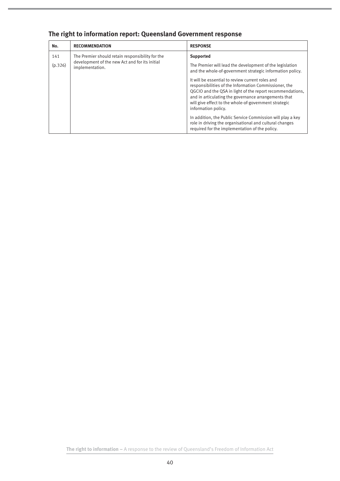| No.            | <b>RECOMMENDATION</b>                                                                                                 | <b>RESPONSE</b>                                                                                                                                                                                                                                                                                                                                                                                                                                                                                                           |
|----------------|-----------------------------------------------------------------------------------------------------------------------|---------------------------------------------------------------------------------------------------------------------------------------------------------------------------------------------------------------------------------------------------------------------------------------------------------------------------------------------------------------------------------------------------------------------------------------------------------------------------------------------------------------------------|
| 141<br>(p.326) | The Premier should retain responsibility for the<br>development of the new Act and for its initial<br>implementation. | <b>Supported</b><br>The Premier will lead the development of the legislation<br>and the whole-of-government strategic information policy.<br>It will be essential to review current roles and<br>responsibilities of the Information Commissioner, the<br>QGCIO and the QSA in light of the report recommendations,<br>and in articulating the governance arrangements that<br>will give effect to the whole-of-government strategic<br>information policy.<br>In addition, the Public Service Commission will play a key |
|                |                                                                                                                       | role in driving the organisational and cultural changes<br>required for the implementation of the policy.                                                                                                                                                                                                                                                                                                                                                                                                                 |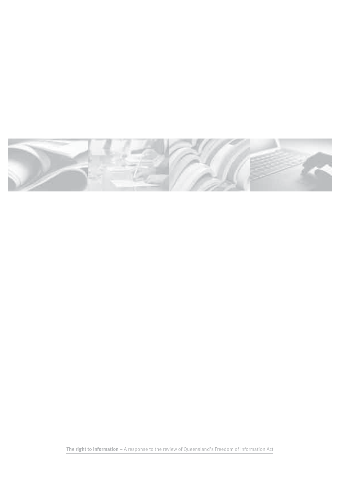